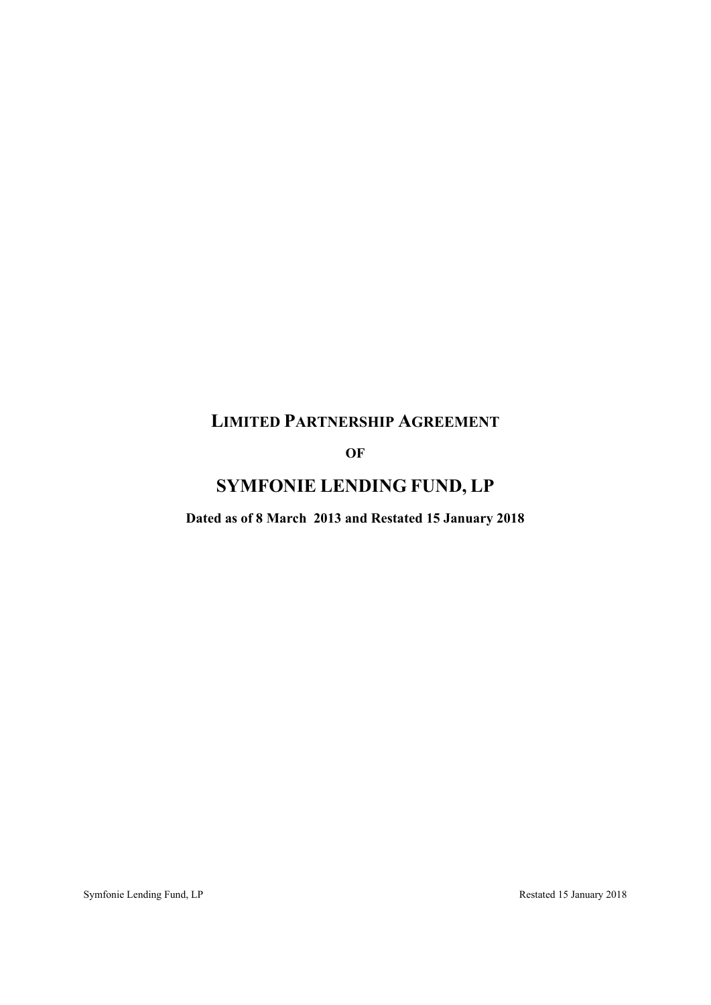# **LIMITED PARTNERSHIP AGREEMENT**

**OF** 

# **SYMFONIE LENDING FUND, LP**

**Dated as of 8 March 2013 and Restated 15 January 2018**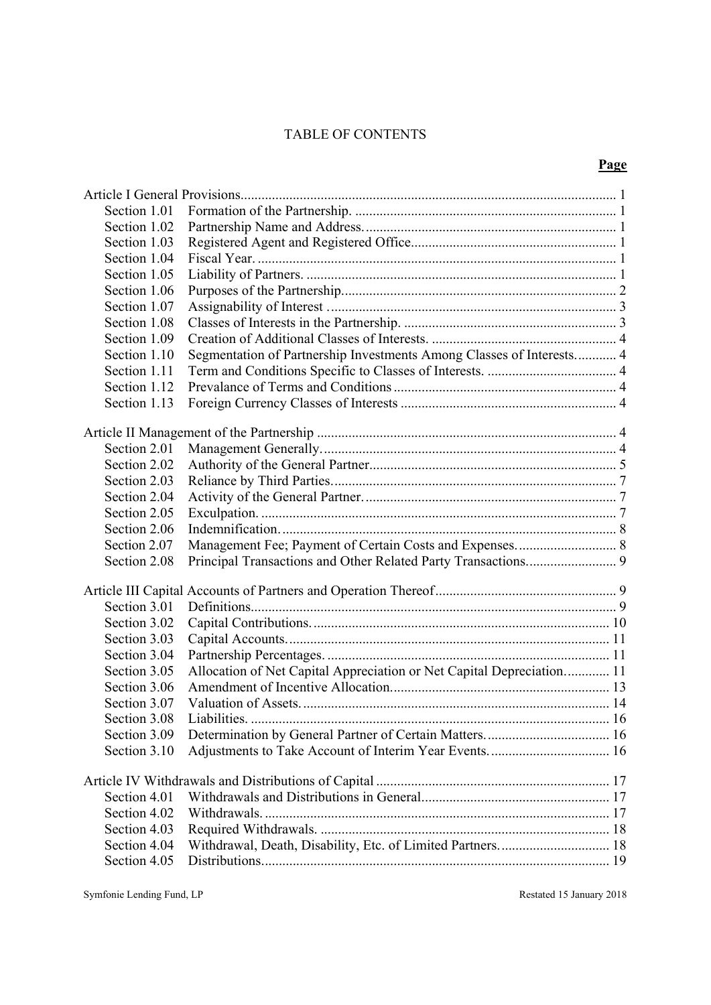# TABLE OF CONTENTS

#### **Page**

| Section 1.01 |                                                                       |  |
|--------------|-----------------------------------------------------------------------|--|
| Section 1.02 |                                                                       |  |
| Section 1.03 |                                                                       |  |
| Section 1.04 |                                                                       |  |
| Section 1.05 |                                                                       |  |
| Section 1.06 |                                                                       |  |
| Section 1.07 |                                                                       |  |
| Section 1.08 |                                                                       |  |
| Section 1.09 |                                                                       |  |
| Section 1.10 | Segmentation of Partnership Investments Among Classes of Interests 4  |  |
| Section 1.11 |                                                                       |  |
| Section 1.12 |                                                                       |  |
| Section 1.13 |                                                                       |  |
|              |                                                                       |  |
| Section 2.01 |                                                                       |  |
| Section 2.02 |                                                                       |  |
| Section 2.03 |                                                                       |  |
| Section 2.04 |                                                                       |  |
| Section 2.05 |                                                                       |  |
| Section 2.06 |                                                                       |  |
| Section 2.07 | Management Fee; Payment of Certain Costs and Expenses 8               |  |
| Section 2.08 |                                                                       |  |
|              |                                                                       |  |
| Section 3.01 |                                                                       |  |
| Section 3.02 |                                                                       |  |
| Section 3.03 |                                                                       |  |
| Section 3.04 |                                                                       |  |
| Section 3.05 | Allocation of Net Capital Appreciation or Net Capital Depreciation 11 |  |
| Section 3.06 |                                                                       |  |
| Section 3.07 |                                                                       |  |
| Section 3.08 | Liabilities.                                                          |  |
| Section 3.09 |                                                                       |  |
| Section 3.10 |                                                                       |  |
|              |                                                                       |  |
| Section 4.01 |                                                                       |  |
| Section 4.02 |                                                                       |  |
| Section 4.03 |                                                                       |  |
| Section 4.04 | Withdrawal, Death, Disability, Etc. of Limited Partners 18            |  |
| Section 4.05 |                                                                       |  |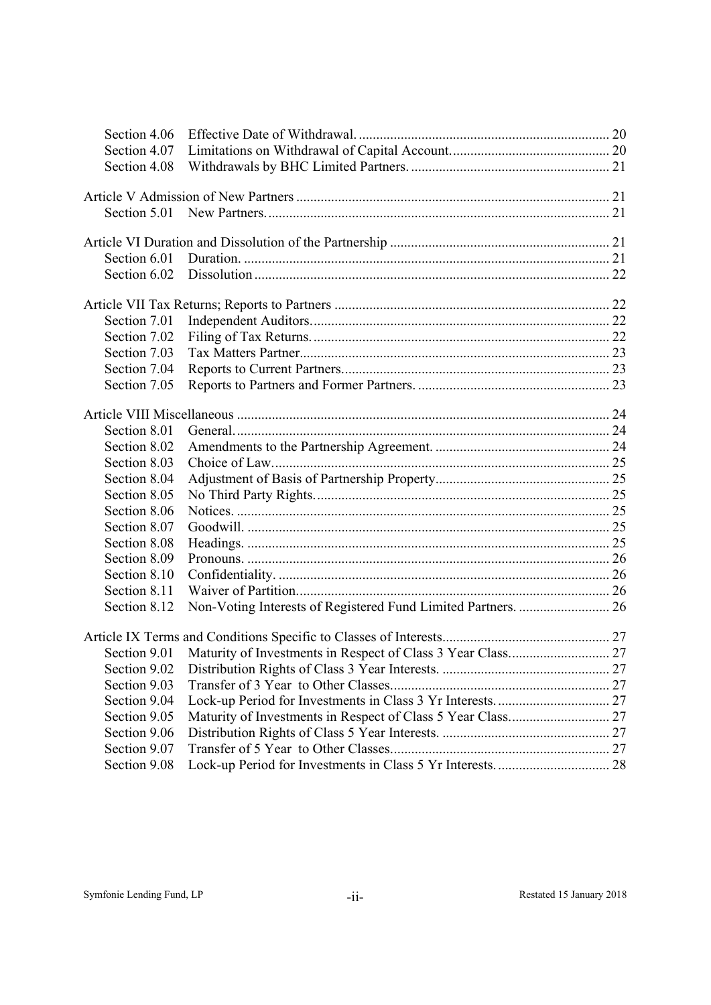| Section 4.06 |  |
|--------------|--|
| Section 4.07 |  |
| Section 4.08 |  |
|              |  |
| Section 5.01 |  |
|              |  |
|              |  |
| Section 6.01 |  |
| Section 6.02 |  |
|              |  |
| Section 7.01 |  |
| Section 7.02 |  |
| Section 7.03 |  |
| Section 7.04 |  |
| Section 7.05 |  |
|              |  |
|              |  |
| Section 8.01 |  |
| Section 8.02 |  |
| Section 8.03 |  |
| Section 8.04 |  |
| Section 8.05 |  |
| Section 8.06 |  |
| Section 8.07 |  |
| Section 8.08 |  |
| Section 8.09 |  |
| Section 8.10 |  |
| Section 8.11 |  |
| Section 8.12 |  |
|              |  |
| Section 9.01 |  |
| Section 9.02 |  |
| Section 9.03 |  |
| Section 9.04 |  |
| Section 9.05 |  |
| Section 9.06 |  |
| Section 9.07 |  |
| Section 9.08 |  |
|              |  |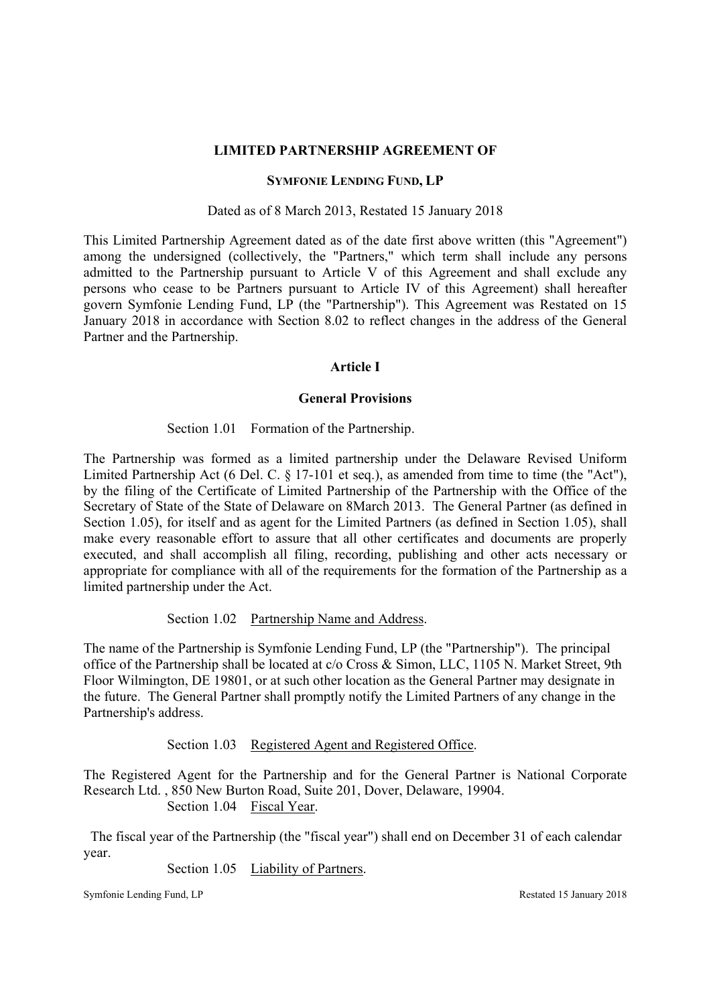#### **LIMITED PARTNERSHIP AGREEMENT OF**

#### **SYMFONIE LENDING FUND, LP**

Dated as of 8 March 2013, Restated 15 January 2018

This Limited Partnership Agreement dated as of the date first above written (this "Agreement") among the undersigned (collectively, the "Partners," which term shall include any persons admitted to the Partnership pursuant to Article V of this Agreement and shall exclude any persons who cease to be Partners pursuant to Article IV of this Agreement) shall hereafter govern Symfonie Lending Fund, LP (the "Partnership"). This Agreement was Restated on 15 January 2018 in accordance with Section 8.02 to reflect changes in the address of the General Partner and the Partnership.

#### **Article I**

#### **General Provisions**

#### Section 1.01 Formation of the Partnership.

The Partnership was formed as a limited partnership under the Delaware Revised Uniform Limited Partnership Act (6 Del. C. § 17-101 et seq.), as amended from time to time (the "Act"), by the filing of the Certificate of Limited Partnership of the Partnership with the Office of the Secretary of State of the State of Delaware on 8March 2013. The General Partner (as defined in Section 1.05), for itself and as agent for the Limited Partners (as defined in Section 1.05), shall make every reasonable effort to assure that all other certificates and documents are properly executed, and shall accomplish all filing, recording, publishing and other acts necessary or appropriate for compliance with all of the requirements for the formation of the Partnership as a limited partnership under the Act.

Section 1.02 Partnership Name and Address.

The name of the Partnership is Symfonie Lending Fund, LP (the "Partnership"). The principal office of the Partnership shall be located at c/o Cross & Simon, LLC, 1105 N. Market Street, 9th Floor Wilmington, DE 19801, or at such other location as the General Partner may designate in the future. The General Partner shall promptly notify the Limited Partners of any change in the Partnership's address.

Section 1.03 Registered Agent and Registered Office.

The Registered Agent for the Partnership and for the General Partner is National Corporate Research Ltd. , 850 New Burton Road, Suite 201, Dover, Delaware, 19904. Section 1.04 Fiscal Year.

 The fiscal year of the Partnership (the "fiscal year") shall end on December 31 of each calendar year.

Section 1.05 Liability of Partners.

Symfonie Lending Fund, LP Restated 15 January 2018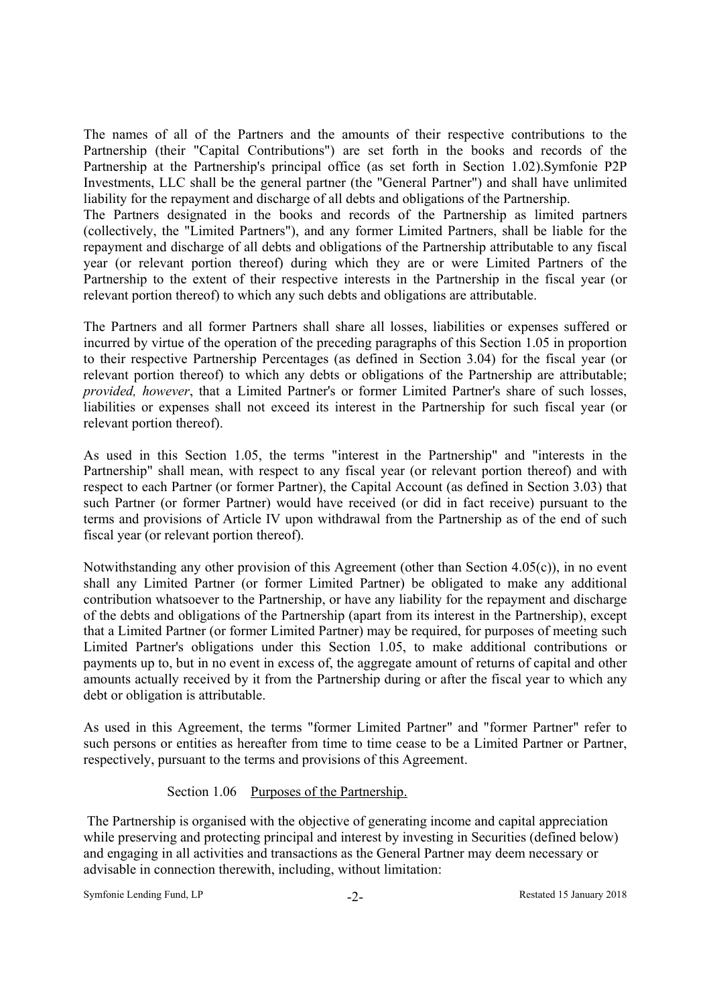The names of all of the Partners and the amounts of their respective contributions to the Partnership (their "Capital Contributions") are set forth in the books and records of the Partnership at the Partnership's principal office (as set forth in Section 1.02).Symfonie P2P Investments, LLC shall be the general partner (the "General Partner") and shall have unlimited liability for the repayment and discharge of all debts and obligations of the Partnership.

The Partners designated in the books and records of the Partnership as limited partners (collectively, the "Limited Partners"), and any former Limited Partners, shall be liable for the repayment and discharge of all debts and obligations of the Partnership attributable to any fiscal year (or relevant portion thereof) during which they are or were Limited Partners of the Partnership to the extent of their respective interests in the Partnership in the fiscal year (or relevant portion thereof) to which any such debts and obligations are attributable.

The Partners and all former Partners shall share all losses, liabilities or expenses suffered or incurred by virtue of the operation of the preceding paragraphs of this Section 1.05 in proportion to their respective Partnership Percentages (as defined in Section 3.04) for the fiscal year (or relevant portion thereof) to which any debts or obligations of the Partnership are attributable; *provided, however*, that a Limited Partner's or former Limited Partner's share of such losses, liabilities or expenses shall not exceed its interest in the Partnership for such fiscal year (or relevant portion thereof).

As used in this Section 1.05, the terms "interest in the Partnership" and "interests in the Partnership" shall mean, with respect to any fiscal year (or relevant portion thereof) and with respect to each Partner (or former Partner), the Capital Account (as defined in Section 3.03) that such Partner (or former Partner) would have received (or did in fact receive) pursuant to the terms and provisions of Article IV upon withdrawal from the Partnership as of the end of such fiscal year (or relevant portion thereof).

Notwithstanding any other provision of this Agreement (other than Section 4.05(c)), in no event shall any Limited Partner (or former Limited Partner) be obligated to make any additional contribution whatsoever to the Partnership, or have any liability for the repayment and discharge of the debts and obligations of the Partnership (apart from its interest in the Partnership), except that a Limited Partner (or former Limited Partner) may be required, for purposes of meeting such Limited Partner's obligations under this Section 1.05, to make additional contributions or payments up to, but in no event in excess of, the aggregate amount of returns of capital and other amounts actually received by it from the Partnership during or after the fiscal year to which any debt or obligation is attributable.

As used in this Agreement, the terms "former Limited Partner" and "former Partner" refer to such persons or entities as hereafter from time to time cease to be a Limited Partner or Partner, respectively, pursuant to the terms and provisions of this Agreement.

## Section 1.06 Purposes of the Partnership.

 The Partnership is organised with the objective of generating income and capital appreciation while preserving and protecting principal and interest by investing in Securities (defined below) and engaging in all activities and transactions as the General Partner may deem necessary or advisable in connection therewith, including, without limitation:

Symfonie Lending Fund, LP  $-2$ - Restated 15 January 2018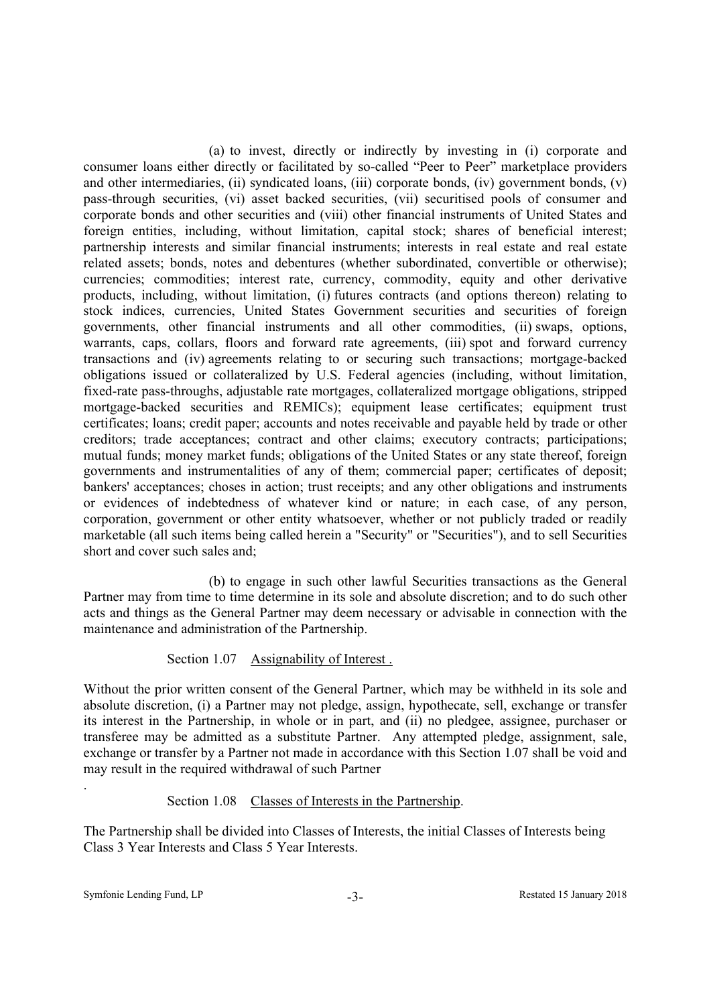(a) to invest, directly or indirectly by investing in (i) corporate and consumer loans either directly or facilitated by so-called "Peer to Peer" marketplace providers and other intermediaries, (ii) syndicated loans, (iii) corporate bonds, (iv) government bonds, (v) pass-through securities, (vi) asset backed securities, (vii) securitised pools of consumer and corporate bonds and other securities and (viii) other financial instruments of United States and foreign entities, including, without limitation, capital stock; shares of beneficial interest; partnership interests and similar financial instruments; interests in real estate and real estate related assets; bonds, notes and debentures (whether subordinated, convertible or otherwise); currencies; commodities; interest rate, currency, commodity, equity and other derivative products, including, without limitation, (i) futures contracts (and options thereon) relating to stock indices, currencies, United States Government securities and securities of foreign governments, other financial instruments and all other commodities, (ii) swaps, options, warrants, caps, collars, floors and forward rate agreements, (iii) spot and forward currency transactions and (iv) agreements relating to or securing such transactions; mortgage-backed obligations issued or collateralized by U.S. Federal agencies (including, without limitation, fixed-rate pass-throughs, adjustable rate mortgages, collateralized mortgage obligations, stripped mortgage-backed securities and REMICs); equipment lease certificates; equipment trust certificates; loans; credit paper; accounts and notes receivable and payable held by trade or other creditors; trade acceptances; contract and other claims; executory contracts; participations; mutual funds; money market funds; obligations of the United States or any state thereof, foreign governments and instrumentalities of any of them; commercial paper; certificates of deposit; bankers' acceptances; choses in action; trust receipts; and any other obligations and instruments or evidences of indebtedness of whatever kind or nature; in each case, of any person, corporation, government or other entity whatsoever, whether or not publicly traded or readily marketable (all such items being called herein a "Security" or "Securities"), and to sell Securities short and cover such sales and;

(b) to engage in such other lawful Securities transactions as the General Partner may from time to time determine in its sole and absolute discretion; and to do such other acts and things as the General Partner may deem necessary or advisable in connection with the maintenance and administration of the Partnership.

## Section 1.07 Assignability of Interest.

Without the prior written consent of the General Partner, which may be withheld in its sole and absolute discretion, (i) a Partner may not pledge, assign, hypothecate, sell, exchange or transfer its interest in the Partnership, in whole or in part, and (ii) no pledgee, assignee, purchaser or transferee may be admitted as a substitute Partner. Any attempted pledge, assignment, sale, exchange or transfer by a Partner not made in accordance with this Section 1.07 shall be void and may result in the required withdrawal of such Partner

#### Section 1.08 Classes of Interests in the Partnership.

The Partnership shall be divided into Classes of Interests, the initial Classes of Interests being Class 3 Year Interests and Class 5 Year Interests.

.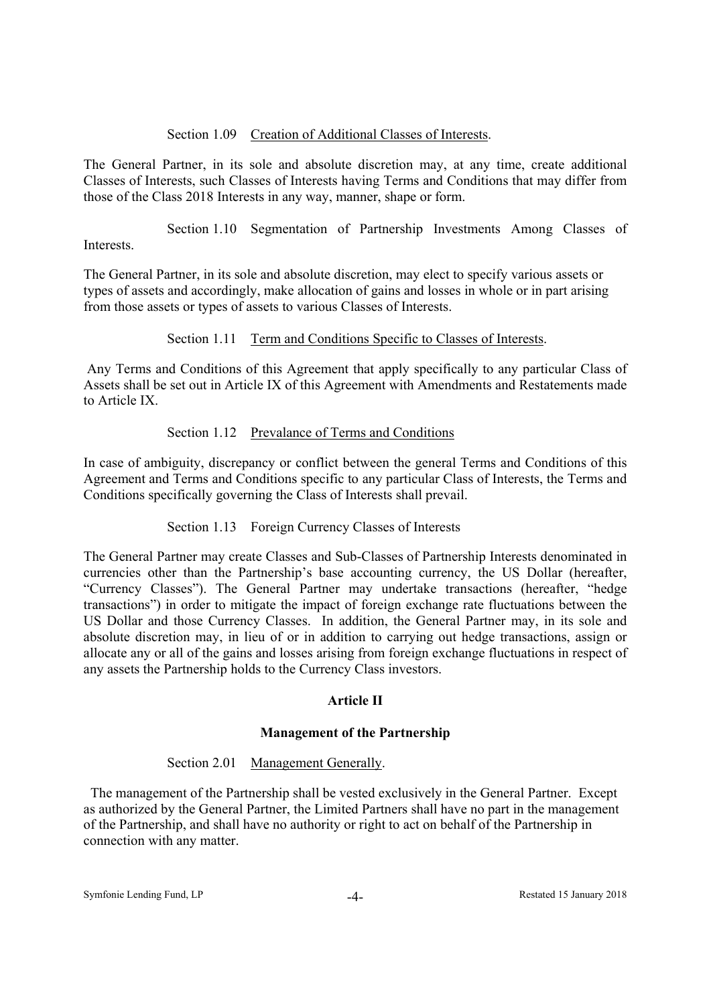#### Section 1.09 Creation of Additional Classes of Interests.

The General Partner, in its sole and absolute discretion may, at any time, create additional Classes of Interests, such Classes of Interests having Terms and Conditions that may differ from those of the Class 2018 Interests in any way, manner, shape or form.

Section 1.10 Segmentation of Partnership Investments Among Classes of Interests.

The General Partner, in its sole and absolute discretion, may elect to specify various assets or types of assets and accordingly, make allocation of gains and losses in whole or in part arising from those assets or types of assets to various Classes of Interests.

Section 1.11 Term and Conditions Specific to Classes of Interests.

 Any Terms and Conditions of this Agreement that apply specifically to any particular Class of Assets shall be set out in Article IX of this Agreement with Amendments and Restatements made to Article IX.

#### Section 1.12 Prevalance of Terms and Conditions

In case of ambiguity, discrepancy or conflict between the general Terms and Conditions of this Agreement and Terms and Conditions specific to any particular Class of Interests, the Terms and Conditions specifically governing the Class of Interests shall prevail.

Section 1.13 Foreign Currency Classes of Interests

The General Partner may create Classes and Sub-Classes of Partnership Interests denominated in currencies other than the Partnership's base accounting currency, the US Dollar (hereafter, "Currency Classes"). The General Partner may undertake transactions (hereafter, "hedge transactions") in order to mitigate the impact of foreign exchange rate fluctuations between the US Dollar and those Currency Classes. In addition, the General Partner may, in its sole and absolute discretion may, in lieu of or in addition to carrying out hedge transactions, assign or allocate any or all of the gains and losses arising from foreign exchange fluctuations in respect of any assets the Partnership holds to the Currency Class investors.

## **Article II**

## **Management of the Partnership**

## Section 2.01 Management Generally.

 The management of the Partnership shall be vested exclusively in the General Partner. Except as authorized by the General Partner, the Limited Partners shall have no part in the management of the Partnership, and shall have no authority or right to act on behalf of the Partnership in connection with any matter.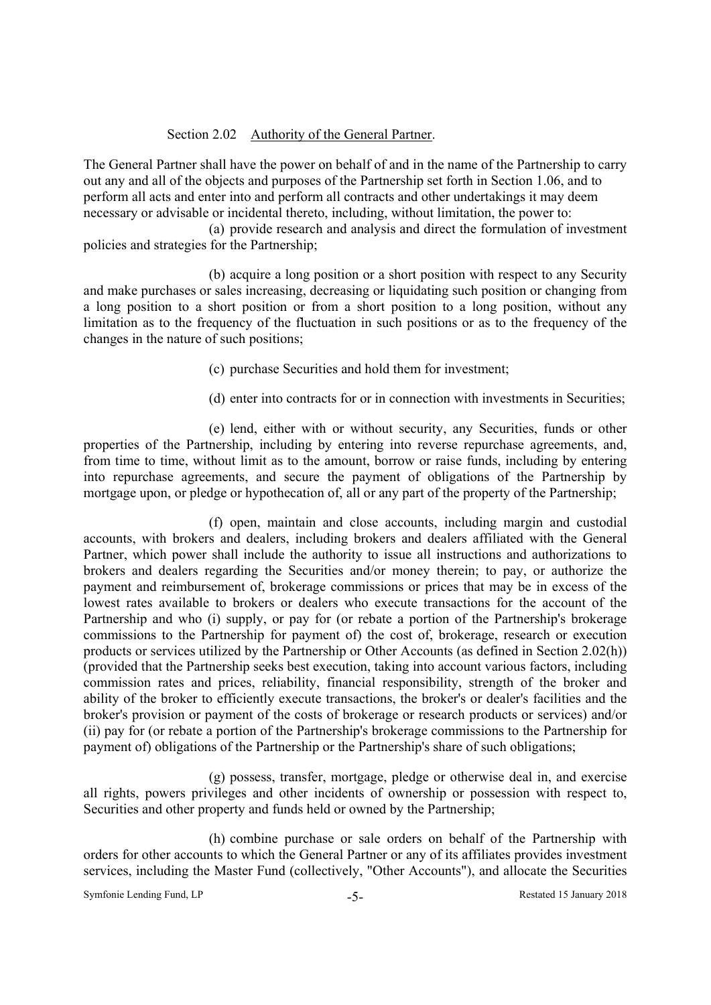#### Section 2.02 Authority of the General Partner.

The General Partner shall have the power on behalf of and in the name of the Partnership to carry out any and all of the objects and purposes of the Partnership set forth in Section 1.06, and to perform all acts and enter into and perform all contracts and other undertakings it may deem necessary or advisable or incidental thereto, including, without limitation, the power to:

(a) provide research and analysis and direct the formulation of investment policies and strategies for the Partnership;

(b) acquire a long position or a short position with respect to any Security and make purchases or sales increasing, decreasing or liquidating such position or changing from a long position to a short position or from a short position to a long position, without any limitation as to the frequency of the fluctuation in such positions or as to the frequency of the changes in the nature of such positions;

(c) purchase Securities and hold them for investment;

(d) enter into contracts for or in connection with investments in Securities;

(e) lend, either with or without security, any Securities, funds or other properties of the Partnership, including by entering into reverse repurchase agreements, and, from time to time, without limit as to the amount, borrow or raise funds, including by entering into repurchase agreements, and secure the payment of obligations of the Partnership by mortgage upon, or pledge or hypothecation of, all or any part of the property of the Partnership;

(f) open, maintain and close accounts, including margin and custodial accounts, with brokers and dealers, including brokers and dealers affiliated with the General Partner, which power shall include the authority to issue all instructions and authorizations to brokers and dealers regarding the Securities and/or money therein; to pay, or authorize the payment and reimbursement of, brokerage commissions or prices that may be in excess of the lowest rates available to brokers or dealers who execute transactions for the account of the Partnership and who (i) supply, or pay for (or rebate a portion of the Partnership's brokerage commissions to the Partnership for payment of) the cost of, brokerage, research or execution products or services utilized by the Partnership or Other Accounts (as defined in Section 2.02(h)) (provided that the Partnership seeks best execution, taking into account various factors, including commission rates and prices, reliability, financial responsibility, strength of the broker and ability of the broker to efficiently execute transactions, the broker's or dealer's facilities and the broker's provision or payment of the costs of brokerage or research products or services) and/or (ii) pay for (or rebate a portion of the Partnership's brokerage commissions to the Partnership for payment of) obligations of the Partnership or the Partnership's share of such obligations;

(g) possess, transfer, mortgage, pledge or otherwise deal in, and exercise all rights, powers privileges and other incidents of ownership or possession with respect to, Securities and other property and funds held or owned by the Partnership;

(h) combine purchase or sale orders on behalf of the Partnership with orders for other accounts to which the General Partner or any of its affiliates provides investment services, including the Master Fund (collectively, "Other Accounts"), and allocate the Securities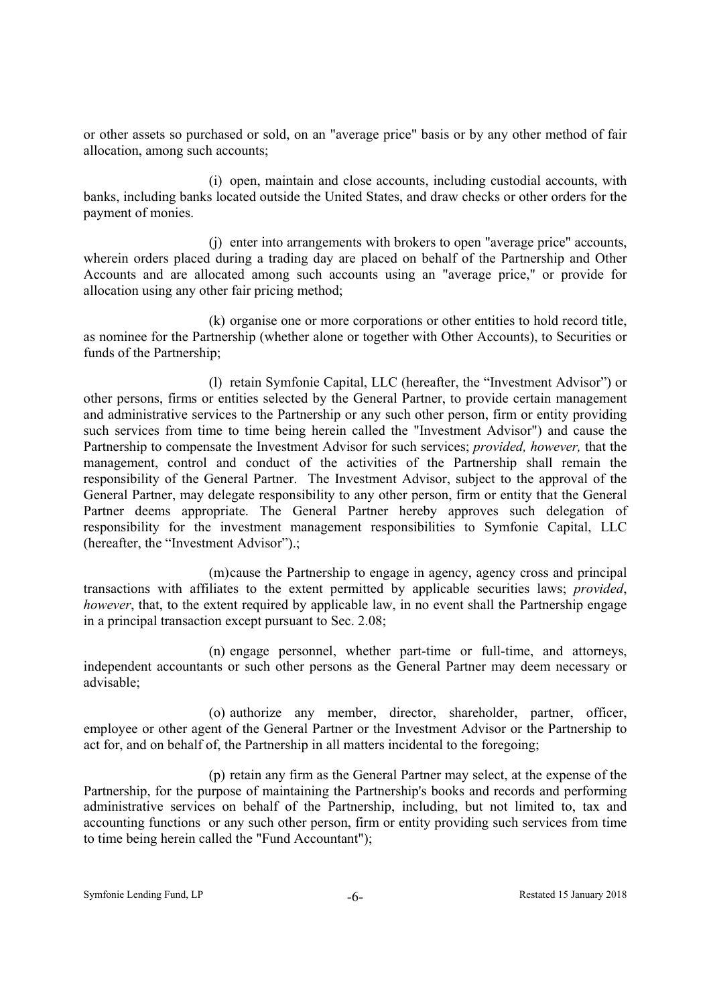or other assets so purchased or sold, on an "average price" basis or by any other method of fair allocation, among such accounts;

(i) open, maintain and close accounts, including custodial accounts, with banks, including banks located outside the United States, and draw checks or other orders for the payment of monies.

(j) enter into arrangements with brokers to open "average price" accounts, wherein orders placed during a trading day are placed on behalf of the Partnership and Other Accounts and are allocated among such accounts using an "average price," or provide for allocation using any other fair pricing method;

(k) organise one or more corporations or other entities to hold record title, as nominee for the Partnership (whether alone or together with Other Accounts), to Securities or funds of the Partnership;

(l) retain Symfonie Capital, LLC (hereafter, the "Investment Advisor") or other persons, firms or entities selected by the General Partner, to provide certain management and administrative services to the Partnership or any such other person, firm or entity providing such services from time to time being herein called the "Investment Advisor") and cause the Partnership to compensate the Investment Advisor for such services; *provided, however,* that the management, control and conduct of the activities of the Partnership shall remain the responsibility of the General Partner. The Investment Advisor, subject to the approval of the General Partner, may delegate responsibility to any other person, firm or entity that the General Partner deems appropriate. The General Partner hereby approves such delegation of responsibility for the investment management responsibilities to Symfonie Capital, LLC (hereafter, the "Investment Advisor").;

(m)cause the Partnership to engage in agency, agency cross and principal transactions with affiliates to the extent permitted by applicable securities laws; *provided*, *however*, that, to the extent required by applicable law, in no event shall the Partnership engage in a principal transaction except pursuant to Sec. 2.08;

(n) engage personnel, whether part-time or full-time, and attorneys, independent accountants or such other persons as the General Partner may deem necessary or advisable;

(o) authorize any member, director, shareholder, partner, officer, employee or other agent of the General Partner or the Investment Advisor or the Partnership to act for, and on behalf of, the Partnership in all matters incidental to the foregoing;

(p) retain any firm as the General Partner may select, at the expense of the Partnership, for the purpose of maintaining the Partnership's books and records and performing administrative services on behalf of the Partnership, including, but not limited to, tax and accounting functions or any such other person, firm or entity providing such services from time to time being herein called the "Fund Accountant");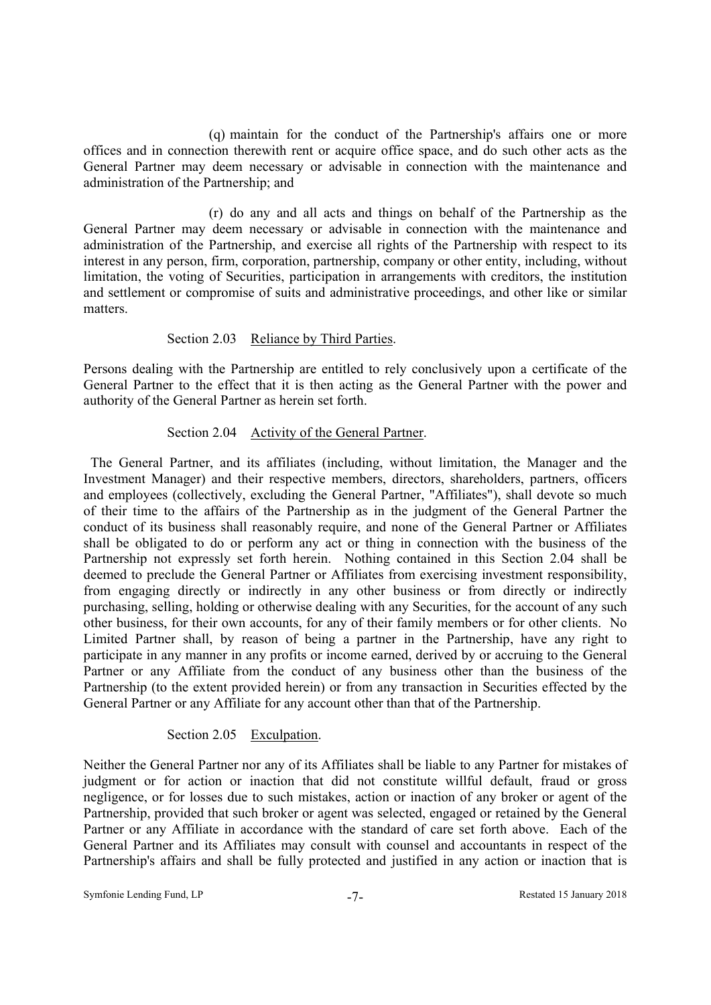(q) maintain for the conduct of the Partnership's affairs one or more offices and in connection therewith rent or acquire office space, and do such other acts as the General Partner may deem necessary or advisable in connection with the maintenance and administration of the Partnership; and

(r) do any and all acts and things on behalf of the Partnership as the General Partner may deem necessary or advisable in connection with the maintenance and administration of the Partnership, and exercise all rights of the Partnership with respect to its interest in any person, firm, corporation, partnership, company or other entity, including, without limitation, the voting of Securities, participation in arrangements with creditors, the institution and settlement or compromise of suits and administrative proceedings, and other like or similar matters.

#### Section 2.03 Reliance by Third Parties.

Persons dealing with the Partnership are entitled to rely conclusively upon a certificate of the General Partner to the effect that it is then acting as the General Partner with the power and authority of the General Partner as herein set forth.

#### Section 2.04 Activity of the General Partner.

 The General Partner, and its affiliates (including, without limitation, the Manager and the Investment Manager) and their respective members, directors, shareholders, partners, officers and employees (collectively, excluding the General Partner, "Affiliates"), shall devote so much of their time to the affairs of the Partnership as in the judgment of the General Partner the conduct of its business shall reasonably require, and none of the General Partner or Affiliates shall be obligated to do or perform any act or thing in connection with the business of the Partnership not expressly set forth herein. Nothing contained in this Section 2.04 shall be deemed to preclude the General Partner or Affiliates from exercising investment responsibility, from engaging directly or indirectly in any other business or from directly or indirectly purchasing, selling, holding or otherwise dealing with any Securities, for the account of any such other business, for their own accounts, for any of their family members or for other clients. No Limited Partner shall, by reason of being a partner in the Partnership, have any right to participate in any manner in any profits or income earned, derived by or accruing to the General Partner or any Affiliate from the conduct of any business other than the business of the Partnership (to the extent provided herein) or from any transaction in Securities effected by the General Partner or any Affiliate for any account other than that of the Partnership.

## Section 2.05 Exculpation.

Neither the General Partner nor any of its Affiliates shall be liable to any Partner for mistakes of judgment or for action or inaction that did not constitute willful default, fraud or gross negligence, or for losses due to such mistakes, action or inaction of any broker or agent of the Partnership, provided that such broker or agent was selected, engaged or retained by the General Partner or any Affiliate in accordance with the standard of care set forth above. Each of the General Partner and its Affiliates may consult with counsel and accountants in respect of the Partnership's affairs and shall be fully protected and justified in any action or inaction that is

Symfonie Lending Fund, LP  $-7$ - Restated 15 January 2018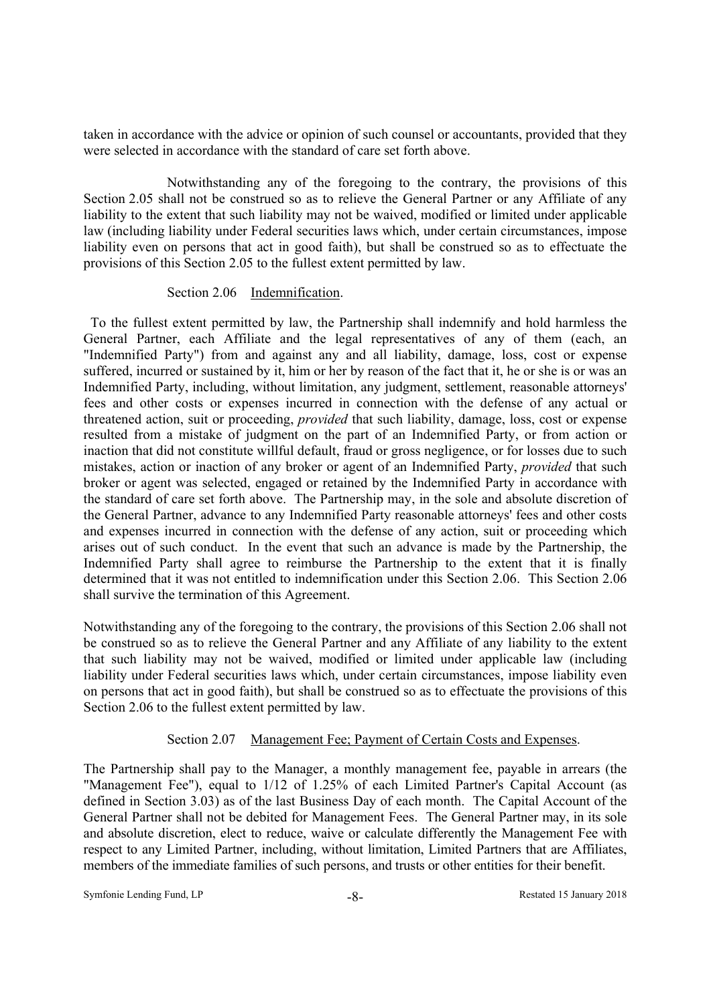taken in accordance with the advice or opinion of such counsel or accountants, provided that they were selected in accordance with the standard of care set forth above.

Notwithstanding any of the foregoing to the contrary, the provisions of this Section 2.05 shall not be construed so as to relieve the General Partner or any Affiliate of any liability to the extent that such liability may not be waived, modified or limited under applicable law (including liability under Federal securities laws which, under certain circumstances, impose liability even on persons that act in good faith), but shall be construed so as to effectuate the provisions of this Section 2.05 to the fullest extent permitted by law.

#### Section 2.06 Indemnification.

 To the fullest extent permitted by law, the Partnership shall indemnify and hold harmless the General Partner, each Affiliate and the legal representatives of any of them (each, an "Indemnified Party") from and against any and all liability, damage, loss, cost or expense suffered, incurred or sustained by it, him or her by reason of the fact that it, he or she is or was an Indemnified Party, including, without limitation, any judgment, settlement, reasonable attorneys' fees and other costs or expenses incurred in connection with the defense of any actual or threatened action, suit or proceeding, *provided* that such liability, damage, loss, cost or expense resulted from a mistake of judgment on the part of an Indemnified Party, or from action or inaction that did not constitute willful default, fraud or gross negligence, or for losses due to such mistakes, action or inaction of any broker or agent of an Indemnified Party, *provided* that such broker or agent was selected, engaged or retained by the Indemnified Party in accordance with the standard of care set forth above. The Partnership may, in the sole and absolute discretion of the General Partner, advance to any Indemnified Party reasonable attorneys' fees and other costs and expenses incurred in connection with the defense of any action, suit or proceeding which arises out of such conduct. In the event that such an advance is made by the Partnership, the Indemnified Party shall agree to reimburse the Partnership to the extent that it is finally determined that it was not entitled to indemnification under this Section 2.06. This Section 2.06 shall survive the termination of this Agreement.

Notwithstanding any of the foregoing to the contrary, the provisions of this Section 2.06 shall not be construed so as to relieve the General Partner and any Affiliate of any liability to the extent that such liability may not be waived, modified or limited under applicable law (including liability under Federal securities laws which, under certain circumstances, impose liability even on persons that act in good faith), but shall be construed so as to effectuate the provisions of this Section 2.06 to the fullest extent permitted by law.

#### Section 2.07 Management Fee; Payment of Certain Costs and Expenses.

The Partnership shall pay to the Manager, a monthly management fee, payable in arrears (the "Management Fee"), equal to  $1/12$  of 1.25% of each Limited Partner's Capital Account (as defined in Section 3.03) as of the last Business Day of each month. The Capital Account of the General Partner shall not be debited for Management Fees. The General Partner may, in its sole and absolute discretion, elect to reduce, waive or calculate differently the Management Fee with respect to any Limited Partner, including, without limitation, Limited Partners that are Affiliates, members of the immediate families of such persons, and trusts or other entities for their benefit.

Symfonie Lending Fund, LP  $-8-$  Restated 15 January 2018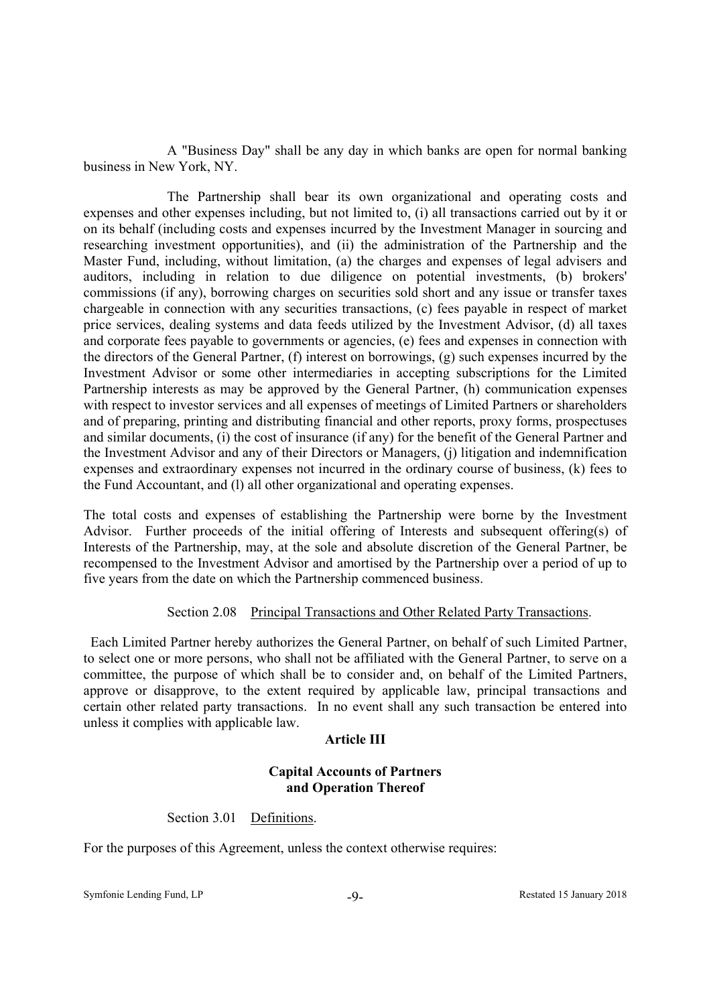A "Business Day" shall be any day in which banks are open for normal banking business in New York, NY.

The Partnership shall bear its own organizational and operating costs and expenses and other expenses including, but not limited to, (i) all transactions carried out by it or on its behalf (including costs and expenses incurred by the Investment Manager in sourcing and researching investment opportunities), and (ii) the administration of the Partnership and the Master Fund, including, without limitation, (a) the charges and expenses of legal advisers and auditors, including in relation to due diligence on potential investments, (b) brokers' commissions (if any), borrowing charges on securities sold short and any issue or transfer taxes chargeable in connection with any securities transactions, (c) fees payable in respect of market price services, dealing systems and data feeds utilized by the Investment Advisor, (d) all taxes and corporate fees payable to governments or agencies, (e) fees and expenses in connection with the directors of the General Partner, (f) interest on borrowings, (g) such expenses incurred by the Investment Advisor or some other intermediaries in accepting subscriptions for the Limited Partnership interests as may be approved by the General Partner, (h) communication expenses with respect to investor services and all expenses of meetings of Limited Partners or shareholders and of preparing, printing and distributing financial and other reports, proxy forms, prospectuses and similar documents, (i) the cost of insurance (if any) for the benefit of the General Partner and the Investment Advisor and any of their Directors or Managers, (j) litigation and indemnification expenses and extraordinary expenses not incurred in the ordinary course of business, (k) fees to the Fund Accountant, and (l) all other organizational and operating expenses.

The total costs and expenses of establishing the Partnership were borne by the Investment Advisor. Further proceeds of the initial offering of Interests and subsequent offering(s) of Interests of the Partnership, may, at the sole and absolute discretion of the General Partner, be recompensed to the Investment Advisor and amortised by the Partnership over a period of up to five years from the date on which the Partnership commenced business.

#### Section 2.08 Principal Transactions and Other Related Party Transactions.

 Each Limited Partner hereby authorizes the General Partner, on behalf of such Limited Partner, to select one or more persons, who shall not be affiliated with the General Partner, to serve on a committee, the purpose of which shall be to consider and, on behalf of the Limited Partners, approve or disapprove, to the extent required by applicable law, principal transactions and certain other related party transactions. In no event shall any such transaction be entered into unless it complies with applicable law.

## **Article III**

#### **Capital Accounts of Partners and Operation Thereof**

#### Section 3.01 Definitions.

For the purposes of this Agreement, unless the context otherwise requires: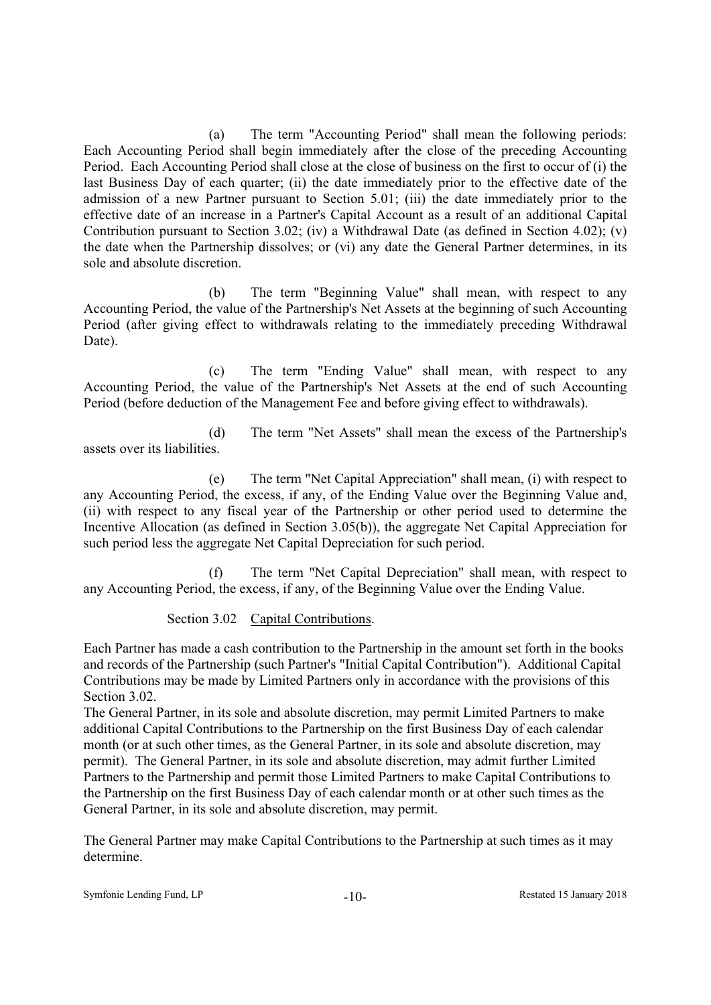(a) The term "Accounting Period" shall mean the following periods: Each Accounting Period shall begin immediately after the close of the preceding Accounting Period. Each Accounting Period shall close at the close of business on the first to occur of (i) the last Business Day of each quarter; (ii) the date immediately prior to the effective date of the admission of a new Partner pursuant to Section 5.01; (iii) the date immediately prior to the effective date of an increase in a Partner's Capital Account as a result of an additional Capital Contribution pursuant to Section 3.02; (iv) a Withdrawal Date (as defined in Section 4.02); (v) the date when the Partnership dissolves; or (vi) any date the General Partner determines, in its sole and absolute discretion.

(b) The term "Beginning Value" shall mean, with respect to any Accounting Period, the value of the Partnership's Net Assets at the beginning of such Accounting Period (after giving effect to withdrawals relating to the immediately preceding Withdrawal Date).

(c) The term "Ending Value" shall mean, with respect to any Accounting Period, the value of the Partnership's Net Assets at the end of such Accounting Period (before deduction of the Management Fee and before giving effect to withdrawals).

(d) The term "Net Assets" shall mean the excess of the Partnership's assets over its liabilities.

(e) The term "Net Capital Appreciation" shall mean, (i) with respect to any Accounting Period, the excess, if any, of the Ending Value over the Beginning Value and, (ii) with respect to any fiscal year of the Partnership or other period used to determine the Incentive Allocation (as defined in Section 3.05(b)), the aggregate Net Capital Appreciation for such period less the aggregate Net Capital Depreciation for such period.

(f) The term "Net Capital Depreciation" shall mean, with respect to any Accounting Period, the excess, if any, of the Beginning Value over the Ending Value.

Section 3.02 Capital Contributions.

Each Partner has made a cash contribution to the Partnership in the amount set forth in the books and records of the Partnership (such Partner's "Initial Capital Contribution"). Additional Capital Contributions may be made by Limited Partners only in accordance with the provisions of this Section 3.02.

The General Partner, in its sole and absolute discretion, may permit Limited Partners to make additional Capital Contributions to the Partnership on the first Business Day of each calendar month (or at such other times, as the General Partner, in its sole and absolute discretion, may permit). The General Partner, in its sole and absolute discretion, may admit further Limited Partners to the Partnership and permit those Limited Partners to make Capital Contributions to the Partnership on the first Business Day of each calendar month or at other such times as the General Partner, in its sole and absolute discretion, may permit.

The General Partner may make Capital Contributions to the Partnership at such times as it may determine.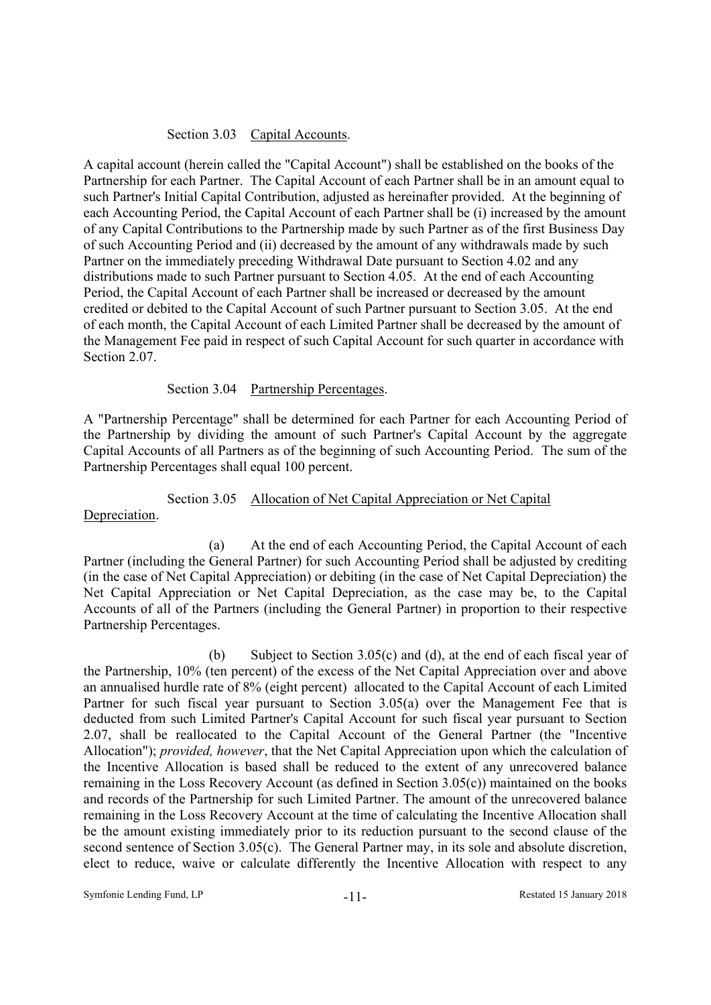## Section 3.03 Capital Accounts.

A capital account (herein called the "Capital Account") shall be established on the books of the Partnership for each Partner. The Capital Account of each Partner shall be in an amount equal to such Partner's Initial Capital Contribution, adjusted as hereinafter provided. At the beginning of each Accounting Period, the Capital Account of each Partner shall be (i) increased by the amount of any Capital Contributions to the Partnership made by such Partner as of the first Business Day of such Accounting Period and (ii) decreased by the amount of any withdrawals made by such Partner on the immediately preceding Withdrawal Date pursuant to Section 4.02 and any distributions made to such Partner pursuant to Section 4.05. At the end of each Accounting Period, the Capital Account of each Partner shall be increased or decreased by the amount credited or debited to the Capital Account of such Partner pursuant to Section 3.05. At the end of each month, the Capital Account of each Limited Partner shall be decreased by the amount of the Management Fee paid in respect of such Capital Account for such quarter in accordance with Section 2.07.

#### Section 3.04 Partnership Percentages.

A "Partnership Percentage" shall be determined for each Partner for each Accounting Period of the Partnership by dividing the amount of such Partner's Capital Account by the aggregate Capital Accounts of all Partners as of the beginning of such Accounting Period. The sum of the Partnership Percentages shall equal 100 percent.

# Section 3.05 Allocation of Net Capital Appreciation or Net Capital

Depreciation.

(a) At the end of each Accounting Period, the Capital Account of each Partner (including the General Partner) for such Accounting Period shall be adjusted by crediting (in the case of Net Capital Appreciation) or debiting (in the case of Net Capital Depreciation) the Net Capital Appreciation or Net Capital Depreciation, as the case may be, to the Capital Accounts of all of the Partners (including the General Partner) in proportion to their respective Partnership Percentages.

(b) Subject to Section 3.05(c) and (d), at the end of each fiscal year of the Partnership, 10% (ten percent) of the excess of the Net Capital Appreciation over and above an annualised hurdle rate of 8% (eight percent) allocated to the Capital Account of each Limited Partner for such fiscal year pursuant to Section 3.05(a) over the Management Fee that is deducted from such Limited Partner's Capital Account for such fiscal year pursuant to Section 2.07, shall be reallocated to the Capital Account of the General Partner (the "Incentive Allocation"); *provided, however*, that the Net Capital Appreciation upon which the calculation of the Incentive Allocation is based shall be reduced to the extent of any unrecovered balance remaining in the Loss Recovery Account (as defined in Section 3.05(c)) maintained on the books and records of the Partnership for such Limited Partner. The amount of the unrecovered balance remaining in the Loss Recovery Account at the time of calculating the Incentive Allocation shall be the amount existing immediately prior to its reduction pursuant to the second clause of the second sentence of Section 3.05(c). The General Partner may, in its sole and absolute discretion, elect to reduce, waive or calculate differently the Incentive Allocation with respect to any

Symfonie Lending Fund, LP  $-11-$  Restated 15 January 2018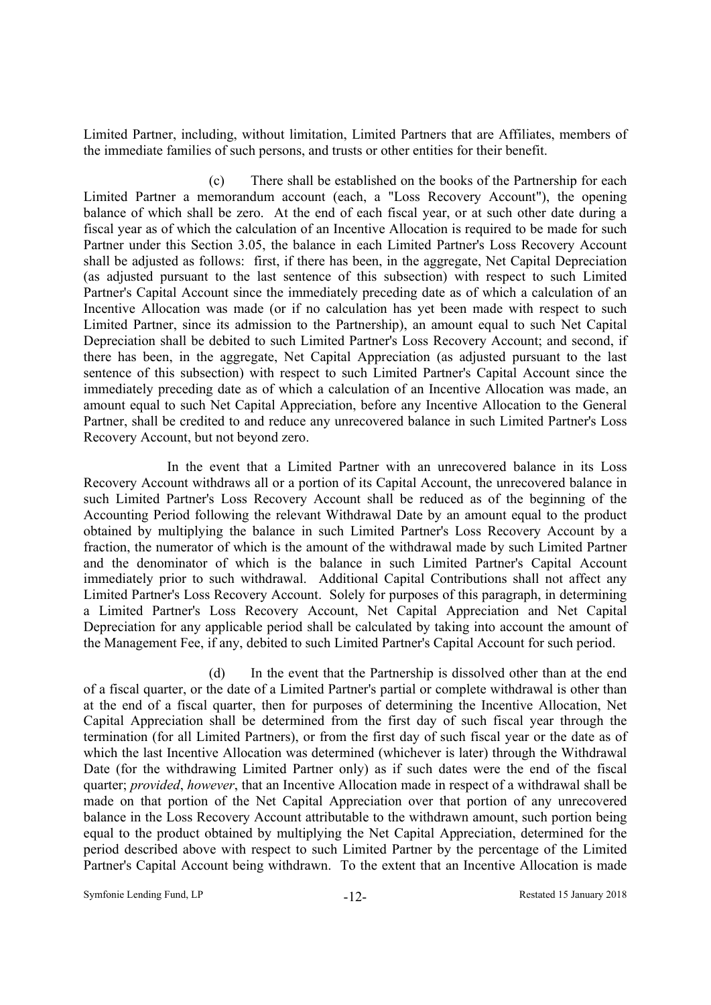Limited Partner, including, without limitation, Limited Partners that are Affiliates, members of the immediate families of such persons, and trusts or other entities for their benefit.

(c) There shall be established on the books of the Partnership for each Limited Partner a memorandum account (each, a "Loss Recovery Account"), the opening balance of which shall be zero. At the end of each fiscal year, or at such other date during a fiscal year as of which the calculation of an Incentive Allocation is required to be made for such Partner under this Section 3.05, the balance in each Limited Partner's Loss Recovery Account shall be adjusted as follows: first, if there has been, in the aggregate, Net Capital Depreciation (as adjusted pursuant to the last sentence of this subsection) with respect to such Limited Partner's Capital Account since the immediately preceding date as of which a calculation of an Incentive Allocation was made (or if no calculation has yet been made with respect to such Limited Partner, since its admission to the Partnership), an amount equal to such Net Capital Depreciation shall be debited to such Limited Partner's Loss Recovery Account; and second, if there has been, in the aggregate, Net Capital Appreciation (as adjusted pursuant to the last sentence of this subsection) with respect to such Limited Partner's Capital Account since the immediately preceding date as of which a calculation of an Incentive Allocation was made, an amount equal to such Net Capital Appreciation, before any Incentive Allocation to the General Partner, shall be credited to and reduce any unrecovered balance in such Limited Partner's Loss Recovery Account, but not beyond zero.

In the event that a Limited Partner with an unrecovered balance in its Loss Recovery Account withdraws all or a portion of its Capital Account, the unrecovered balance in such Limited Partner's Loss Recovery Account shall be reduced as of the beginning of the Accounting Period following the relevant Withdrawal Date by an amount equal to the product obtained by multiplying the balance in such Limited Partner's Loss Recovery Account by a fraction, the numerator of which is the amount of the withdrawal made by such Limited Partner and the denominator of which is the balance in such Limited Partner's Capital Account immediately prior to such withdrawal. Additional Capital Contributions shall not affect any Limited Partner's Loss Recovery Account. Solely for purposes of this paragraph, in determining a Limited Partner's Loss Recovery Account, Net Capital Appreciation and Net Capital Depreciation for any applicable period shall be calculated by taking into account the amount of the Management Fee, if any, debited to such Limited Partner's Capital Account for such period.

(d) In the event that the Partnership is dissolved other than at the end of a fiscal quarter, or the date of a Limited Partner's partial or complete withdrawal is other than at the end of a fiscal quarter, then for purposes of determining the Incentive Allocation, Net Capital Appreciation shall be determined from the first day of such fiscal year through the termination (for all Limited Partners), or from the first day of such fiscal year or the date as of which the last Incentive Allocation was determined (whichever is later) through the Withdrawal Date (for the withdrawing Limited Partner only) as if such dates were the end of the fiscal quarter; *provided*, *however*, that an Incentive Allocation made in respect of a withdrawal shall be made on that portion of the Net Capital Appreciation over that portion of any unrecovered balance in the Loss Recovery Account attributable to the withdrawn amount, such portion being equal to the product obtained by multiplying the Net Capital Appreciation, determined for the period described above with respect to such Limited Partner by the percentage of the Limited Partner's Capital Account being withdrawn. To the extent that an Incentive Allocation is made

Symfonie Lending Fund, LP  $-12-$  Restated 15 January 2018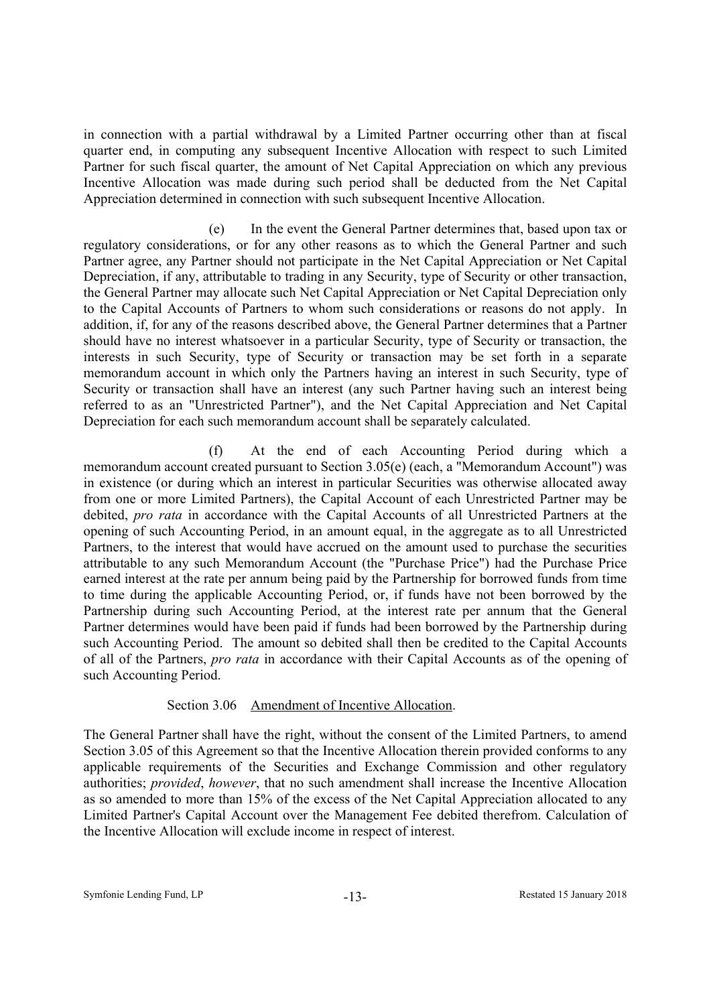in connection with a partial withdrawal by a Limited Partner occurring other than at fiscal quarter end, in computing any subsequent Incentive Allocation with respect to such Limited Partner for such fiscal quarter, the amount of Net Capital Appreciation on which any previous Incentive Allocation was made during such period shall be deducted from the Net Capital Appreciation determined in connection with such subsequent Incentive Allocation.

(e) In the event the General Partner determines that, based upon tax or regulatory considerations, or for any other reasons as to which the General Partner and such Partner agree, any Partner should not participate in the Net Capital Appreciation or Net Capital Depreciation, if any, attributable to trading in any Security, type of Security or other transaction, the General Partner may allocate such Net Capital Appreciation or Net Capital Depreciation only to the Capital Accounts of Partners to whom such considerations or reasons do not apply. In addition, if, for any of the reasons described above, the General Partner determines that a Partner should have no interest whatsoever in a particular Security, type of Security or transaction, the interests in such Security, type of Security or transaction may be set forth in a separate memorandum account in which only the Partners having an interest in such Security, type of Security or transaction shall have an interest (any such Partner having such an interest being referred to as an "Unrestricted Partner"), and the Net Capital Appreciation and Net Capital Depreciation for each such memorandum account shall be separately calculated.

(f) At the end of each Accounting Period during which a memorandum account created pursuant to Section 3.05(e) (each, a "Memorandum Account") was in existence (or during which an interest in particular Securities was otherwise allocated away from one or more Limited Partners), the Capital Account of each Unrestricted Partner may be debited, *pro rata* in accordance with the Capital Accounts of all Unrestricted Partners at the opening of such Accounting Period, in an amount equal, in the aggregate as to all Unrestricted Partners, to the interest that would have accrued on the amount used to purchase the securities attributable to any such Memorandum Account (the "Purchase Price") had the Purchase Price earned interest at the rate per annum being paid by the Partnership for borrowed funds from time to time during the applicable Accounting Period, or, if funds have not been borrowed by the Partnership during such Accounting Period, at the interest rate per annum that the General Partner determines would have been paid if funds had been borrowed by the Partnership during such Accounting Period. The amount so debited shall then be credited to the Capital Accounts of all of the Partners, *pro rata* in accordance with their Capital Accounts as of the opening of such Accounting Period.

#### Section 3.06 Amendment of Incentive Allocation.

The General Partner shall have the right, without the consent of the Limited Partners, to amend Section 3.05 of this Agreement so that the Incentive Allocation therein provided conforms to any applicable requirements of the Securities and Exchange Commission and other regulatory authorities; *provided*, *however*, that no such amendment shall increase the Incentive Allocation as so amended to more than 15% of the excess of the Net Capital Appreciation allocated to any Limited Partner's Capital Account over the Management Fee debited therefrom. Calculation of the Incentive Allocation will exclude income in respect of interest.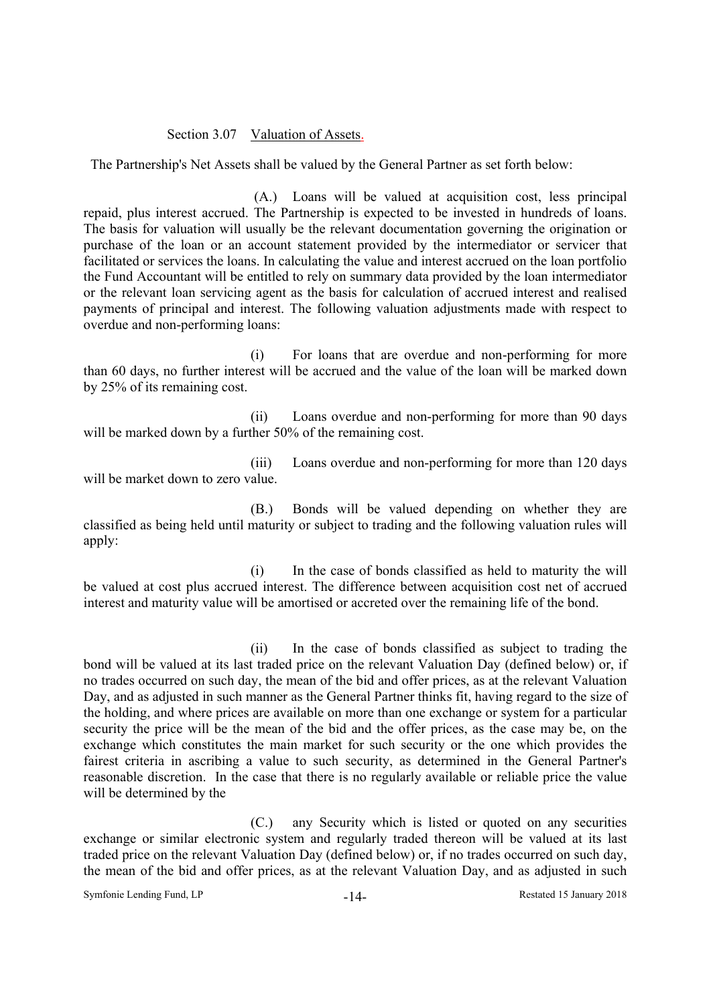## Section 3.07 Valuation of Assets.

The Partnership's Net Assets shall be valued by the General Partner as set forth below:

 (A.) Loans will be valued at acquisition cost, less principal repaid, plus interest accrued. The Partnership is expected to be invested in hundreds of loans. The basis for valuation will usually be the relevant documentation governing the origination or purchase of the loan or an account statement provided by the intermediator or servicer that facilitated or services the loans. In calculating the value and interest accrued on the loan portfolio the Fund Accountant will be entitled to rely on summary data provided by the loan intermediator or the relevant loan servicing agent as the basis for calculation of accrued interest and realised payments of principal and interest. The following valuation adjustments made with respect to overdue and non-performing loans:

 (i) For loans that are overdue and non-performing for more than 60 days, no further interest will be accrued and the value of the loan will be marked down by 25% of its remaining cost.

 (ii) Loans overdue and non-performing for more than 90 days will be marked down by a further 50% of the remaining cost.

 (iii) Loans overdue and non-performing for more than 120 days will be market down to zero value.

 (B.) Bonds will be valued depending on whether they are classified as being held until maturity or subject to trading and the following valuation rules will apply:

 (i) In the case of bonds classified as held to maturity the will be valued at cost plus accrued interest. The difference between acquisition cost net of accrued interest and maturity value will be amortised or accreted over the remaining life of the bond.

 (ii) In the case of bonds classified as subject to trading the bond will be valued at its last traded price on the relevant Valuation Day (defined below) or, if no trades occurred on such day, the mean of the bid and offer prices, as at the relevant Valuation Day, and as adjusted in such manner as the General Partner thinks fit, having regard to the size of the holding, and where prices are available on more than one exchange or system for a particular security the price will be the mean of the bid and the offer prices, as the case may be, on the exchange which constitutes the main market for such security or the one which provides the fairest criteria in ascribing a value to such security, as determined in the General Partner's reasonable discretion. In the case that there is no regularly available or reliable price the value will be determined by the

 (C.) any Security which is listed or quoted on any securities exchange or similar electronic system and regularly traded thereon will be valued at its last traded price on the relevant Valuation Day (defined below) or, if no trades occurred on such day, the mean of the bid and offer prices, as at the relevant Valuation Day, and as adjusted in such

Symfonie Lending Fund, LP -14- Restated 15 January 2018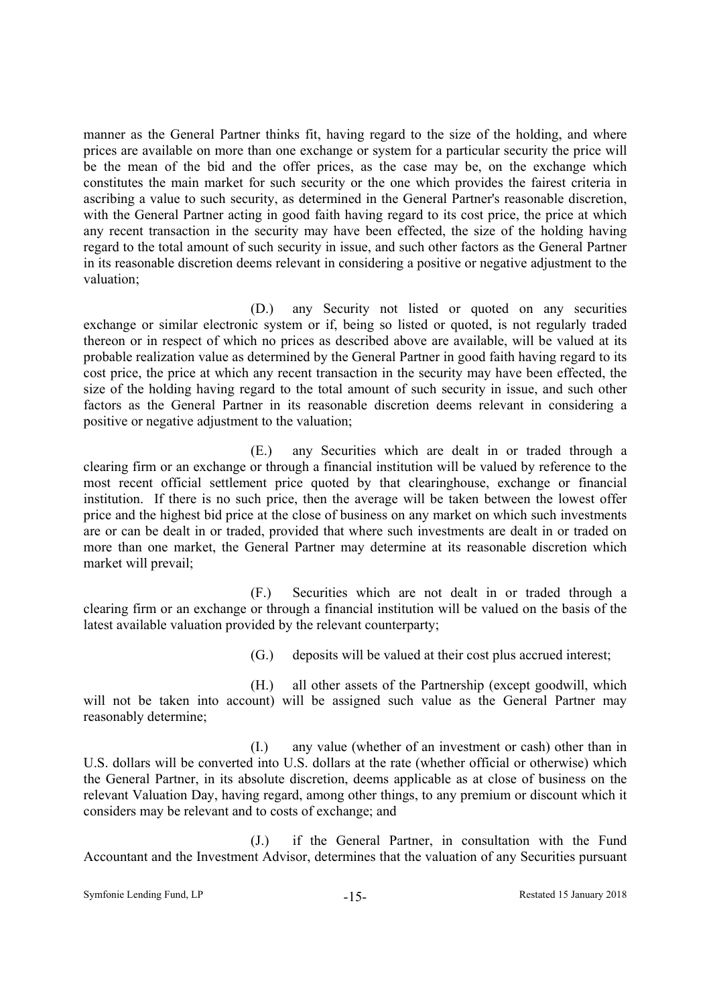manner as the General Partner thinks fit, having regard to the size of the holding, and where prices are available on more than one exchange or system for a particular security the price will be the mean of the bid and the offer prices, as the case may be, on the exchange which constitutes the main market for such security or the one which provides the fairest criteria in ascribing a value to such security, as determined in the General Partner's reasonable discretion, with the General Partner acting in good faith having regard to its cost price, the price at which any recent transaction in the security may have been effected, the size of the holding having regard to the total amount of such security in issue, and such other factors as the General Partner in its reasonable discretion deems relevant in considering a positive or negative adjustment to the valuation;

 (D.) any Security not listed or quoted on any securities exchange or similar electronic system or if, being so listed or quoted, is not regularly traded thereon or in respect of which no prices as described above are available, will be valued at its probable realization value as determined by the General Partner in good faith having regard to its cost price, the price at which any recent transaction in the security may have been effected, the size of the holding having regard to the total amount of such security in issue, and such other factors as the General Partner in its reasonable discretion deems relevant in considering a positive or negative adjustment to the valuation;

 (E.) any Securities which are dealt in or traded through a clearing firm or an exchange or through a financial institution will be valued by reference to the most recent official settlement price quoted by that clearinghouse, exchange or financial institution. If there is no such price, then the average will be taken between the lowest offer price and the highest bid price at the close of business on any market on which such investments are or can be dealt in or traded, provided that where such investments are dealt in or traded on more than one market, the General Partner may determine at its reasonable discretion which market will prevail;

 (F.) Securities which are not dealt in or traded through a clearing firm or an exchange or through a financial institution will be valued on the basis of the latest available valuation provided by the relevant counterparty;

(G.) deposits will be valued at their cost plus accrued interest;

 (H.) all other assets of the Partnership (except goodwill, which will not be taken into account) will be assigned such value as the General Partner may reasonably determine;

 (I.) any value (whether of an investment or cash) other than in U.S. dollars will be converted into U.S. dollars at the rate (whether official or otherwise) which the General Partner, in its absolute discretion, deems applicable as at close of business on the relevant Valuation Day, having regard, among other things, to any premium or discount which it considers may be relevant and to costs of exchange; and

 (J.) if the General Partner, in consultation with the Fund Accountant and the Investment Advisor, determines that the valuation of any Securities pursuant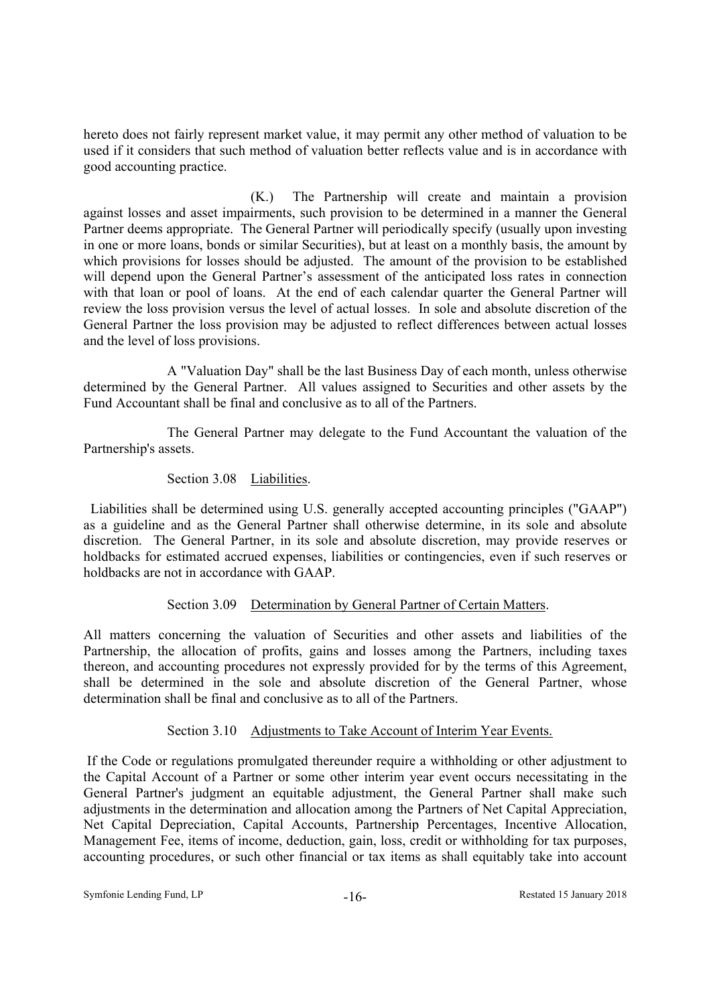hereto does not fairly represent market value, it may permit any other method of valuation to be used if it considers that such method of valuation better reflects value and is in accordance with good accounting practice.

 (K.) The Partnership will create and maintain a provision against losses and asset impairments, such provision to be determined in a manner the General Partner deems appropriate. The General Partner will periodically specify (usually upon investing in one or more loans, bonds or similar Securities), but at least on a monthly basis, the amount by which provisions for losses should be adjusted. The amount of the provision to be established will depend upon the General Partner's assessment of the anticipated loss rates in connection with that loan or pool of loans. At the end of each calendar quarter the General Partner will review the loss provision versus the level of actual losses. In sole and absolute discretion of the General Partner the loss provision may be adjusted to reflect differences between actual losses and the level of loss provisions.

A "Valuation Day" shall be the last Business Day of each month, unless otherwise determined by the General Partner. All values assigned to Securities and other assets by the Fund Accountant shall be final and conclusive as to all of the Partners.

The General Partner may delegate to the Fund Accountant the valuation of the Partnership's assets.

## Section 3.08 Liabilities.

 Liabilities shall be determined using U.S. generally accepted accounting principles ("GAAP") as a guideline and as the General Partner shall otherwise determine, in its sole and absolute discretion. The General Partner, in its sole and absolute discretion, may provide reserves or holdbacks for estimated accrued expenses, liabilities or contingencies, even if such reserves or holdbacks are not in accordance with GAAP.

## Section 3.09 Determination by General Partner of Certain Matters.

All matters concerning the valuation of Securities and other assets and liabilities of the Partnership, the allocation of profits, gains and losses among the Partners, including taxes thereon, and accounting procedures not expressly provided for by the terms of this Agreement, shall be determined in the sole and absolute discretion of the General Partner, whose determination shall be final and conclusive as to all of the Partners.

## Section 3.10 Adjustments to Take Account of Interim Year Events.

 If the Code or regulations promulgated thereunder require a withholding or other adjustment to the Capital Account of a Partner or some other interim year event occurs necessitating in the General Partner's judgment an equitable adjustment, the General Partner shall make such adjustments in the determination and allocation among the Partners of Net Capital Appreciation, Net Capital Depreciation, Capital Accounts, Partnership Percentages, Incentive Allocation, Management Fee, items of income, deduction, gain, loss, credit or withholding for tax purposes, accounting procedures, or such other financial or tax items as shall equitably take into account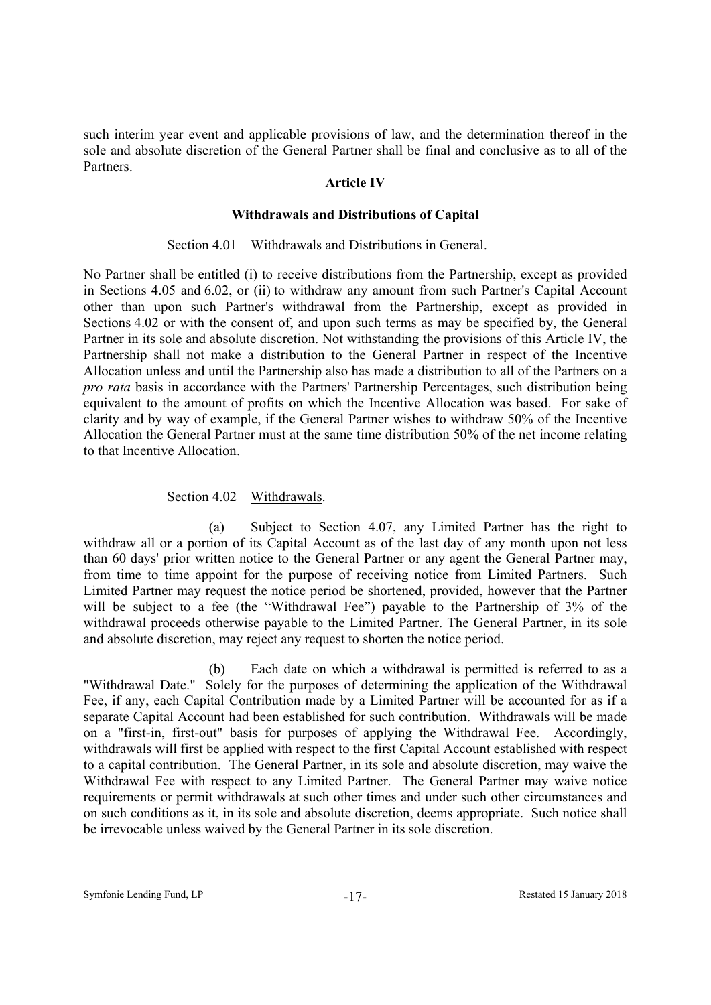such interim year event and applicable provisions of law, and the determination thereof in the sole and absolute discretion of the General Partner shall be final and conclusive as to all of the Partners.

#### **Article IV**

#### **Withdrawals and Distributions of Capital**

#### Section 4.01 Withdrawals and Distributions in General.

No Partner shall be entitled (i) to receive distributions from the Partnership, except as provided in Sections 4.05 and 6.02, or (ii) to withdraw any amount from such Partner's Capital Account other than upon such Partner's withdrawal from the Partnership, except as provided in Sections 4.02 or with the consent of, and upon such terms as may be specified by, the General Partner in its sole and absolute discretion. Not withstanding the provisions of this Article IV, the Partnership shall not make a distribution to the General Partner in respect of the Incentive Allocation unless and until the Partnership also has made a distribution to all of the Partners on a *pro rata* basis in accordance with the Partners' Partnership Percentages, such distribution being equivalent to the amount of profits on which the Incentive Allocation was based. For sake of clarity and by way of example, if the General Partner wishes to withdraw 50% of the Incentive Allocation the General Partner must at the same time distribution 50% of the net income relating to that Incentive Allocation.

## Section 4.02 Withdrawals.

(a) Subject to Section 4.07, any Limited Partner has the right to withdraw all or a portion of its Capital Account as of the last day of any month upon not less than 60 days' prior written notice to the General Partner or any agent the General Partner may, from time to time appoint for the purpose of receiving notice from Limited Partners. Such Limited Partner may request the notice period be shortened, provided, however that the Partner will be subject to a fee (the "Withdrawal Fee") payable to the Partnership of 3% of the withdrawal proceeds otherwise payable to the Limited Partner. The General Partner, in its sole and absolute discretion, may reject any request to shorten the notice period.

(b) Each date on which a withdrawal is permitted is referred to as a "Withdrawal Date." Solely for the purposes of determining the application of the Withdrawal Fee, if any, each Capital Contribution made by a Limited Partner will be accounted for as if a separate Capital Account had been established for such contribution. Withdrawals will be made on a "first-in, first-out" basis for purposes of applying the Withdrawal Fee. Accordingly, withdrawals will first be applied with respect to the first Capital Account established with respect to a capital contribution. The General Partner, in its sole and absolute discretion, may waive the Withdrawal Fee with respect to any Limited Partner. The General Partner may waive notice requirements or permit withdrawals at such other times and under such other circumstances and on such conditions as it, in its sole and absolute discretion, deems appropriate. Such notice shall be irrevocable unless waived by the General Partner in its sole discretion.

Symfonie Lending Fund, LP -17- Restated 15 January 2018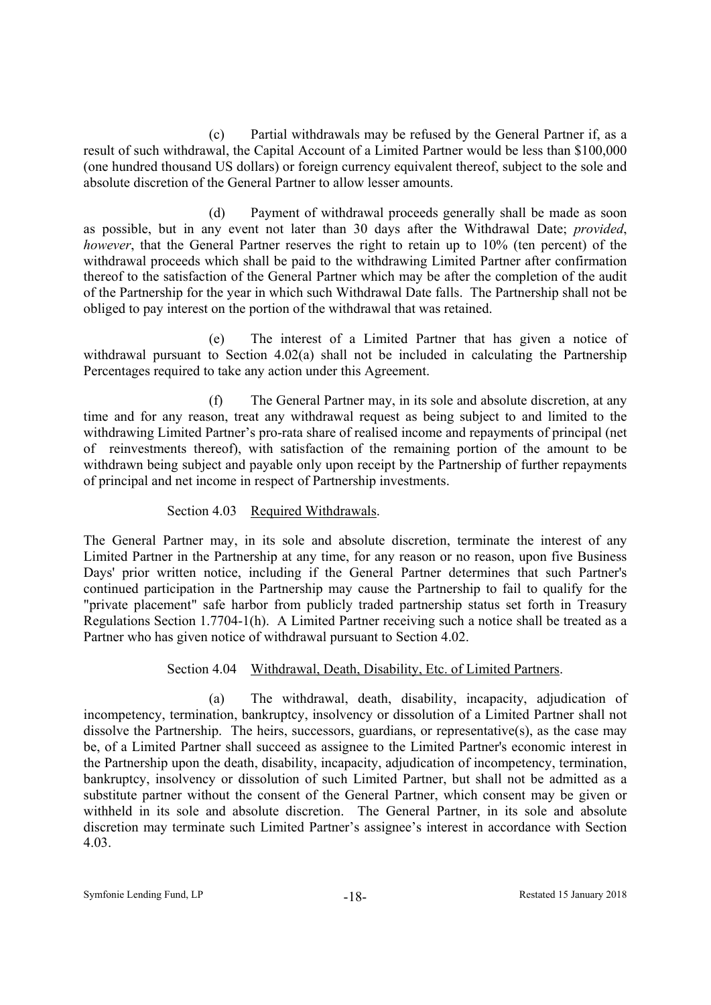(c) Partial withdrawals may be refused by the General Partner if, as a result of such withdrawal, the Capital Account of a Limited Partner would be less than \$100,000 (one hundred thousand US dollars) or foreign currency equivalent thereof, subject to the sole and absolute discretion of the General Partner to allow lesser amounts.

(d) Payment of withdrawal proceeds generally shall be made as soon as possible, but in any event not later than 30 days after the Withdrawal Date; *provided*, *however*, that the General Partner reserves the right to retain up to 10% (ten percent) of the withdrawal proceeds which shall be paid to the withdrawing Limited Partner after confirmation thereof to the satisfaction of the General Partner which may be after the completion of the audit of the Partnership for the year in which such Withdrawal Date falls. The Partnership shall not be obliged to pay interest on the portion of the withdrawal that was retained.

(e) The interest of a Limited Partner that has given a notice of withdrawal pursuant to Section 4.02(a) shall not be included in calculating the Partnership Percentages required to take any action under this Agreement.

(f) The General Partner may, in its sole and absolute discretion, at any time and for any reason, treat any withdrawal request as being subject to and limited to the withdrawing Limited Partner's pro-rata share of realised income and repayments of principal (net of reinvestments thereof), with satisfaction of the remaining portion of the amount to be withdrawn being subject and payable only upon receipt by the Partnership of further repayments of principal and net income in respect of Partnership investments.

## Section 4.03 Required Withdrawals.

The General Partner may, in its sole and absolute discretion, terminate the interest of any Limited Partner in the Partnership at any time, for any reason or no reason, upon five Business Days' prior written notice, including if the General Partner determines that such Partner's continued participation in the Partnership may cause the Partnership to fail to qualify for the "private placement" safe harbor from publicly traded partnership status set forth in Treasury Regulations Section 1.7704-1(h). A Limited Partner receiving such a notice shall be treated as a Partner who has given notice of withdrawal pursuant to Section 4.02.

## Section 4.04 Withdrawal, Death, Disability, Etc. of Limited Partners.

(a) The withdrawal, death, disability, incapacity, adjudication of incompetency, termination, bankruptcy, insolvency or dissolution of a Limited Partner shall not dissolve the Partnership. The heirs, successors, guardians, or representative(s), as the case may be, of a Limited Partner shall succeed as assignee to the Limited Partner's economic interest in the Partnership upon the death, disability, incapacity, adjudication of incompetency, termination, bankruptcy, insolvency or dissolution of such Limited Partner, but shall not be admitted as a substitute partner without the consent of the General Partner, which consent may be given or withheld in its sole and absolute discretion. The General Partner, in its sole and absolute discretion may terminate such Limited Partner's assignee's interest in accordance with Section 4.03.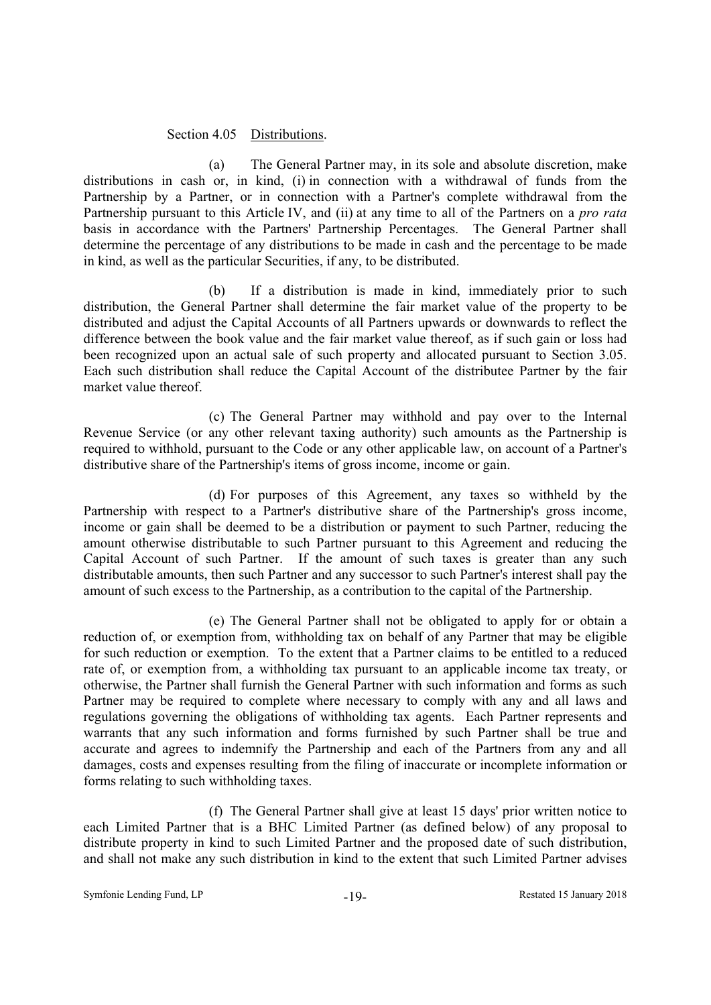#### Section 4.05 Distributions.

(a) The General Partner may, in its sole and absolute discretion, make distributions in cash or, in kind, (i) in connection with a withdrawal of funds from the Partnership by a Partner, or in connection with a Partner's complete withdrawal from the Partnership pursuant to this Article IV, and (ii) at any time to all of the Partners on a *pro rata*  basis in accordance with the Partners' Partnership Percentages. The General Partner shall determine the percentage of any distributions to be made in cash and the percentage to be made in kind, as well as the particular Securities, if any, to be distributed.

(b) If a distribution is made in kind, immediately prior to such distribution, the General Partner shall determine the fair market value of the property to be distributed and adjust the Capital Accounts of all Partners upwards or downwards to reflect the difference between the book value and the fair market value thereof, as if such gain or loss had been recognized upon an actual sale of such property and allocated pursuant to Section 3.05. Each such distribution shall reduce the Capital Account of the distributee Partner by the fair market value thereof.

(c) The General Partner may withhold and pay over to the Internal Revenue Service (or any other relevant taxing authority) such amounts as the Partnership is required to withhold, pursuant to the Code or any other applicable law, on account of a Partner's distributive share of the Partnership's items of gross income, income or gain.

(d) For purposes of this Agreement, any taxes so withheld by the Partnership with respect to a Partner's distributive share of the Partnership's gross income, income or gain shall be deemed to be a distribution or payment to such Partner, reducing the amount otherwise distributable to such Partner pursuant to this Agreement and reducing the Capital Account of such Partner. If the amount of such taxes is greater than any such distributable amounts, then such Partner and any successor to such Partner's interest shall pay the amount of such excess to the Partnership, as a contribution to the capital of the Partnership.

(e) The General Partner shall not be obligated to apply for or obtain a reduction of, or exemption from, withholding tax on behalf of any Partner that may be eligible for such reduction or exemption. To the extent that a Partner claims to be entitled to a reduced rate of, or exemption from, a withholding tax pursuant to an applicable income tax treaty, or otherwise, the Partner shall furnish the General Partner with such information and forms as such Partner may be required to complete where necessary to comply with any and all laws and regulations governing the obligations of withholding tax agents. Each Partner represents and warrants that any such information and forms furnished by such Partner shall be true and accurate and agrees to indemnify the Partnership and each of the Partners from any and all damages, costs and expenses resulting from the filing of inaccurate or incomplete information or forms relating to such withholding taxes.

(f) The General Partner shall give at least 15 days' prior written notice to each Limited Partner that is a BHC Limited Partner (as defined below) of any proposal to distribute property in kind to such Limited Partner and the proposed date of such distribution, and shall not make any such distribution in kind to the extent that such Limited Partner advises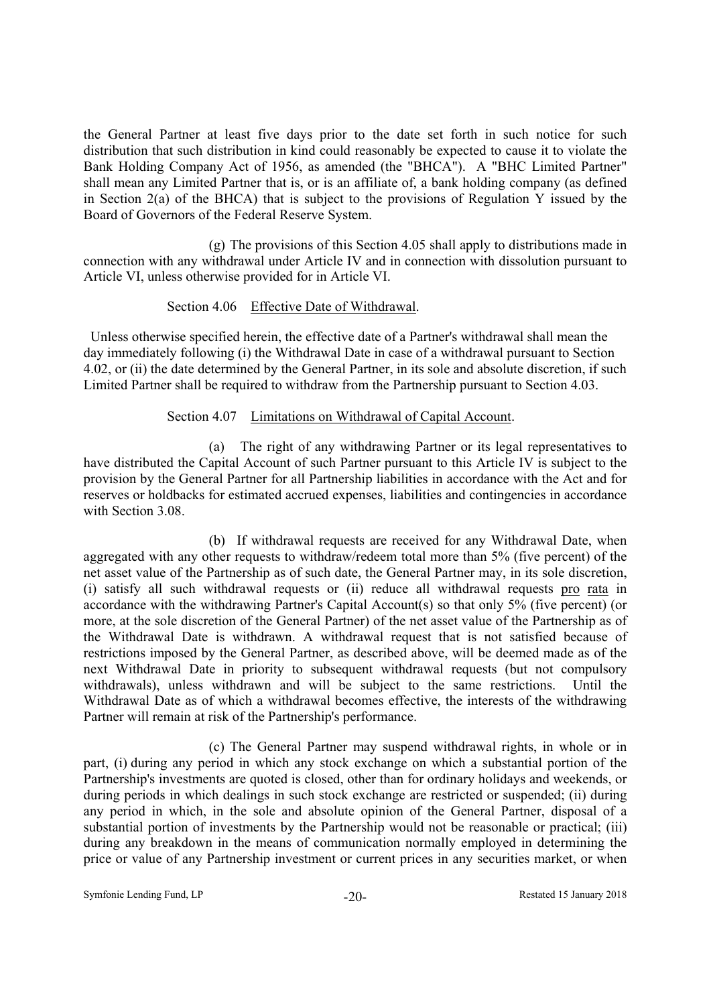the General Partner at least five days prior to the date set forth in such notice for such distribution that such distribution in kind could reasonably be expected to cause it to violate the Bank Holding Company Act of 1956, as amended (the "BHCA"). A "BHC Limited Partner" shall mean any Limited Partner that is, or is an affiliate of, a bank holding company (as defined in Section 2(a) of the BHCA) that is subject to the provisions of Regulation Y issued by the Board of Governors of the Federal Reserve System.

(g) The provisions of this Section 4.05 shall apply to distributions made in connection with any withdrawal under Article IV and in connection with dissolution pursuant to Article VI, unless otherwise provided for in Article VI.

## Section 4.06 Effective Date of Withdrawal.

 Unless otherwise specified herein, the effective date of a Partner's withdrawal shall mean the day immediately following (i) the Withdrawal Date in case of a withdrawal pursuant to Section 4.02, or (ii) the date determined by the General Partner, in its sole and absolute discretion, if such Limited Partner shall be required to withdraw from the Partnership pursuant to Section 4.03.

## Section 4.07 Limitations on Withdrawal of Capital Account.

(a) The right of any withdrawing Partner or its legal representatives to have distributed the Capital Account of such Partner pursuant to this Article IV is subject to the provision by the General Partner for all Partnership liabilities in accordance with the Act and for reserves or holdbacks for estimated accrued expenses, liabilities and contingencies in accordance with Section 3.08.

(b) If withdrawal requests are received for any Withdrawal Date, when aggregated with any other requests to withdraw/redeem total more than 5% (five percent) of the net asset value of the Partnership as of such date, the General Partner may, in its sole discretion, (i) satisfy all such withdrawal requests or (ii) reduce all withdrawal requests pro rata in accordance with the withdrawing Partner's Capital Account(s) so that only 5% (five percent) (or more, at the sole discretion of the General Partner) of the net asset value of the Partnership as of the Withdrawal Date is withdrawn. A withdrawal request that is not satisfied because of restrictions imposed by the General Partner, as described above, will be deemed made as of the next Withdrawal Date in priority to subsequent withdrawal requests (but not compulsory withdrawals), unless withdrawn and will be subject to the same restrictions. Until the Withdrawal Date as of which a withdrawal becomes effective, the interests of the withdrawing Partner will remain at risk of the Partnership's performance.

(c) The General Partner may suspend withdrawal rights, in whole or in part, (i) during any period in which any stock exchange on which a substantial portion of the Partnership's investments are quoted is closed, other than for ordinary holidays and weekends, or during periods in which dealings in such stock exchange are restricted or suspended; (ii) during any period in which, in the sole and absolute opinion of the General Partner, disposal of a substantial portion of investments by the Partnership would not be reasonable or practical; (iii) during any breakdown in the means of communication normally employed in determining the price or value of any Partnership investment or current prices in any securities market, or when

Symfonie Lending Fund, LP -20- -20- Restated 15 January 2018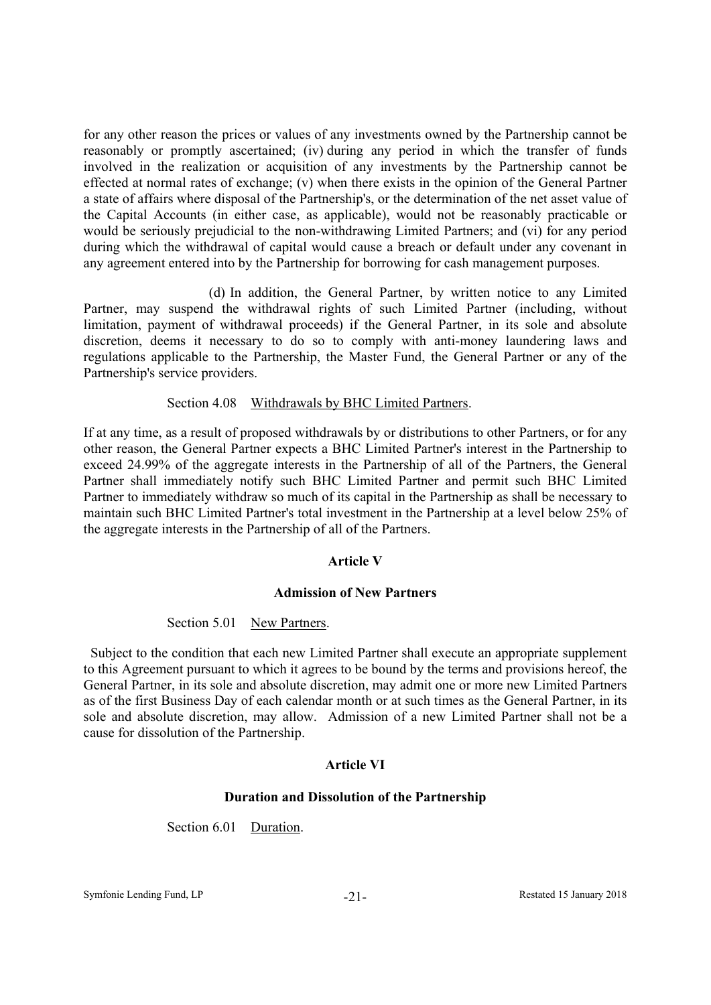for any other reason the prices or values of any investments owned by the Partnership cannot be reasonably or promptly ascertained; (iv) during any period in which the transfer of funds involved in the realization or acquisition of any investments by the Partnership cannot be effected at normal rates of exchange; (v) when there exists in the opinion of the General Partner a state of affairs where disposal of the Partnership's, or the determination of the net asset value of the Capital Accounts (in either case, as applicable), would not be reasonably practicable or would be seriously prejudicial to the non-withdrawing Limited Partners; and (vi) for any period during which the withdrawal of capital would cause a breach or default under any covenant in any agreement entered into by the Partnership for borrowing for cash management purposes.

(d) In addition, the General Partner, by written notice to any Limited Partner, may suspend the withdrawal rights of such Limited Partner (including, without limitation, payment of withdrawal proceeds) if the General Partner, in its sole and absolute discretion, deems it necessary to do so to comply with anti-money laundering laws and regulations applicable to the Partnership, the Master Fund, the General Partner or any of the Partnership's service providers.

Section 4.08 Withdrawals by BHC Limited Partners.

If at any time, as a result of proposed withdrawals by or distributions to other Partners, or for any other reason, the General Partner expects a BHC Limited Partner's interest in the Partnership to exceed 24.99% of the aggregate interests in the Partnership of all of the Partners, the General Partner shall immediately notify such BHC Limited Partner and permit such BHC Limited Partner to immediately withdraw so much of its capital in the Partnership as shall be necessary to maintain such BHC Limited Partner's total investment in the Partnership at a level below 25% of the aggregate interests in the Partnership of all of the Partners.

## **Article V**

#### **Admission of New Partners**

Section 5.01 New Partners.

 Subject to the condition that each new Limited Partner shall execute an appropriate supplement to this Agreement pursuant to which it agrees to be bound by the terms and provisions hereof, the General Partner, in its sole and absolute discretion, may admit one or more new Limited Partners as of the first Business Day of each calendar month or at such times as the General Partner, in its sole and absolute discretion, may allow. Admission of a new Limited Partner shall not be a cause for dissolution of the Partnership.

#### **Article VI**

#### **Duration and Dissolution of the Partnership**

Section 6.01 Duration.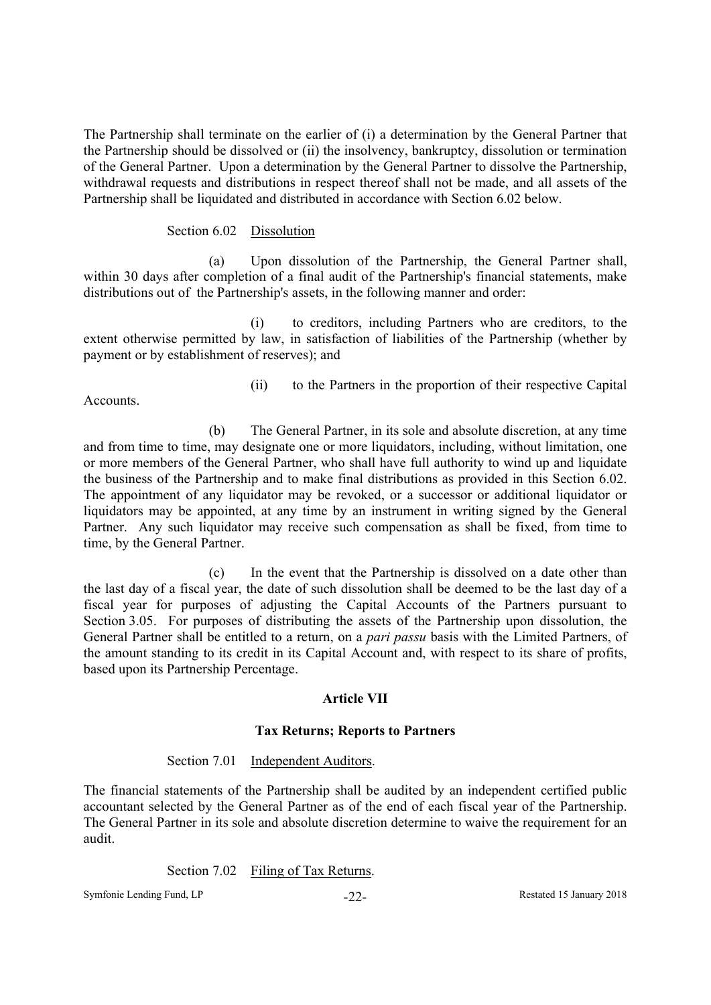The Partnership shall terminate on the earlier of (i) a determination by the General Partner that the Partnership should be dissolved or (ii) the insolvency, bankruptcy, dissolution or termination of the General Partner. Upon a determination by the General Partner to dissolve the Partnership, withdrawal requests and distributions in respect thereof shall not be made, and all assets of the Partnership shall be liquidated and distributed in accordance with Section 6.02 below.

#### Section 6.02 Dissolution

(a) Upon dissolution of the Partnership, the General Partner shall, within 30 days after completion of a final audit of the Partnership's financial statements, make distributions out of the Partnership's assets, in the following manner and order:

(i) to creditors, including Partners who are creditors, to the extent otherwise permitted by law, in satisfaction of liabilities of the Partnership (whether by payment or by establishment of reserves); and

Accounts.

(ii) to the Partners in the proportion of their respective Capital

(b) The General Partner, in its sole and absolute discretion, at any time and from time to time, may designate one or more liquidators, including, without limitation, one or more members of the General Partner, who shall have full authority to wind up and liquidate the business of the Partnership and to make final distributions as provided in this Section 6.02. The appointment of any liquidator may be revoked, or a successor or additional liquidator or liquidators may be appointed, at any time by an instrument in writing signed by the General Partner. Any such liquidator may receive such compensation as shall be fixed, from time to time, by the General Partner.

(c) In the event that the Partnership is dissolved on a date other than the last day of a fiscal year, the date of such dissolution shall be deemed to be the last day of a fiscal year for purposes of adjusting the Capital Accounts of the Partners pursuant to Section 3.05. For purposes of distributing the assets of the Partnership upon dissolution, the General Partner shall be entitled to a return, on a *pari passu* basis with the Limited Partners, of the amount standing to its credit in its Capital Account and, with respect to its share of profits, based upon its Partnership Percentage.

## **Article VII**

#### **Tax Returns; Reports to Partners**

#### Section 7.01 Independent Auditors.

The financial statements of the Partnership shall be audited by an independent certified public accountant selected by the General Partner as of the end of each fiscal year of the Partnership. The General Partner in its sole and absolute discretion determine to waive the requirement for an audit.

Section 7.02 Filing of Tax Returns.

Symfonie Lending Fund, LP  $-22$ - Restated 15 January 2018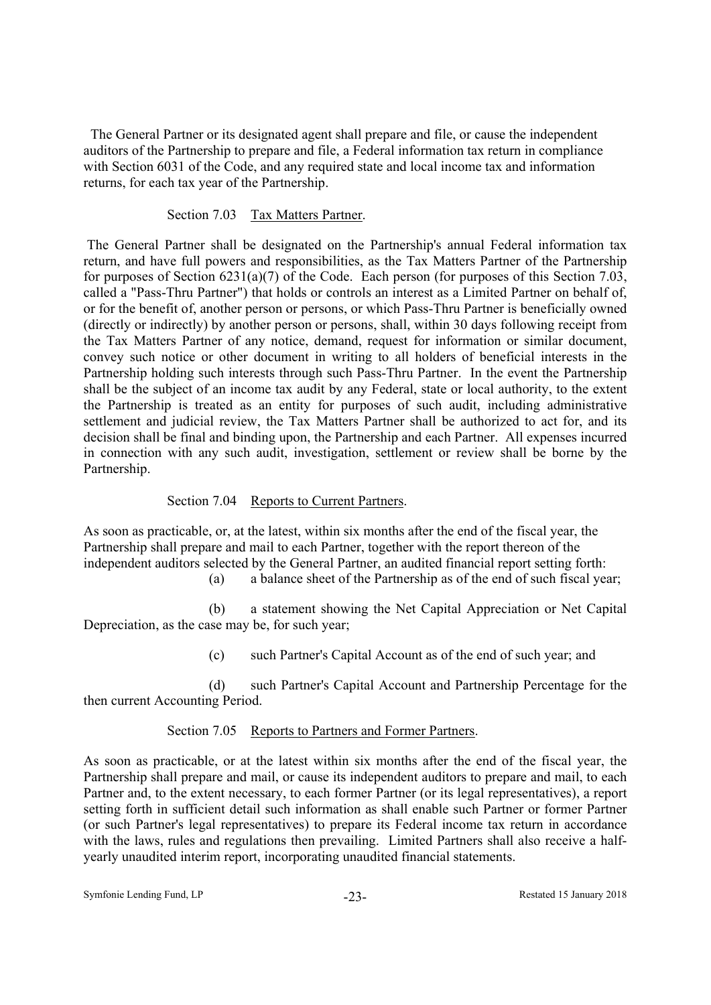The General Partner or its designated agent shall prepare and file, or cause the independent auditors of the Partnership to prepare and file, a Federal information tax return in compliance with Section 6031 of the Code, and any required state and local income tax and information returns, for each tax year of the Partnership.

Section 7.03 Tax Matters Partner.

 The General Partner shall be designated on the Partnership's annual Federal information tax return, and have full powers and responsibilities, as the Tax Matters Partner of the Partnership for purposes of Section 6231(a)(7) of the Code. Each person (for purposes of this Section 7.03, called a "Pass-Thru Partner") that holds or controls an interest as a Limited Partner on behalf of, or for the benefit of, another person or persons, or which Pass-Thru Partner is beneficially owned (directly or indirectly) by another person or persons, shall, within 30 days following receipt from the Tax Matters Partner of any notice, demand, request for information or similar document, convey such notice or other document in writing to all holders of beneficial interests in the Partnership holding such interests through such Pass-Thru Partner. In the event the Partnership shall be the subject of an income tax audit by any Federal, state or local authority, to the extent the Partnership is treated as an entity for purposes of such audit, including administrative settlement and judicial review, the Tax Matters Partner shall be authorized to act for, and its decision shall be final and binding upon, the Partnership and each Partner. All expenses incurred in connection with any such audit, investigation, settlement or review shall be borne by the Partnership.

## Section 7.04 Reports to Current Partners.

As soon as practicable, or, at the latest, within six months after the end of the fiscal year, the Partnership shall prepare and mail to each Partner, together with the report thereon of the independent auditors selected by the General Partner, an audited financial report setting forth:

(a) a balance sheet of the Partnership as of the end of such fiscal year;

(b) a statement showing the Net Capital Appreciation or Net Capital Depreciation, as the case may be, for such year;

(c) such Partner's Capital Account as of the end of such year; and

(d) such Partner's Capital Account and Partnership Percentage for the then current Accounting Period.

## Section 7.05 Reports to Partners and Former Partners.

As soon as practicable, or at the latest within six months after the end of the fiscal year, the Partnership shall prepare and mail, or cause its independent auditors to prepare and mail, to each Partner and, to the extent necessary, to each former Partner (or its legal representatives), a report setting forth in sufficient detail such information as shall enable such Partner or former Partner (or such Partner's legal representatives) to prepare its Federal income tax return in accordance with the laws, rules and regulations then prevailing. Limited Partners shall also receive a halfyearly unaudited interim report, incorporating unaudited financial statements.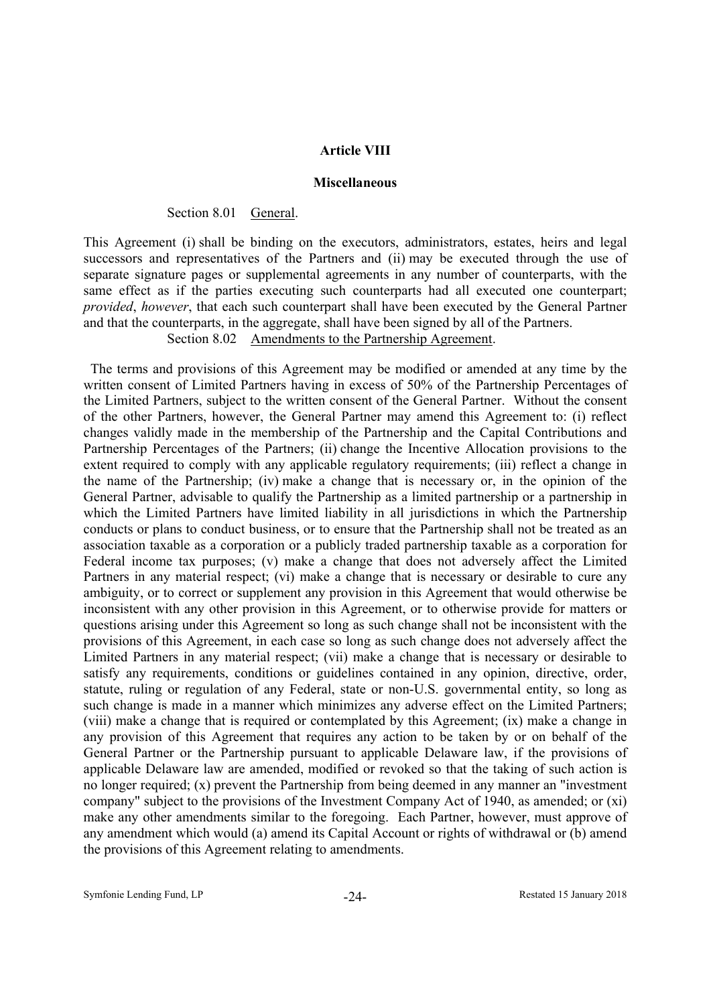#### **Article VIII**

#### **Miscellaneous**

#### Section 8.01 General.

This Agreement (i) shall be binding on the executors, administrators, estates, heirs and legal successors and representatives of the Partners and (ii) may be executed through the use of separate signature pages or supplemental agreements in any number of counterparts, with the same effect as if the parties executing such counterparts had all executed one counterpart; *provided*, *however*, that each such counterpart shall have been executed by the General Partner and that the counterparts, in the aggregate, shall have been signed by all of the Partners.

Section 8.02 Amendments to the Partnership Agreement.

 The terms and provisions of this Agreement may be modified or amended at any time by the written consent of Limited Partners having in excess of 50% of the Partnership Percentages of the Limited Partners, subject to the written consent of the General Partner. Without the consent of the other Partners, however, the General Partner may amend this Agreement to: (i) reflect changes validly made in the membership of the Partnership and the Capital Contributions and Partnership Percentages of the Partners; (ii) change the Incentive Allocation provisions to the extent required to comply with any applicable regulatory requirements; (iii) reflect a change in the name of the Partnership; (iv) make a change that is necessary or, in the opinion of the General Partner, advisable to qualify the Partnership as a limited partnership or a partnership in which the Limited Partners have limited liability in all jurisdictions in which the Partnership conducts or plans to conduct business, or to ensure that the Partnership shall not be treated as an association taxable as a corporation or a publicly traded partnership taxable as a corporation for Federal income tax purposes; (v) make a change that does not adversely affect the Limited Partners in any material respect; (vi) make a change that is necessary or desirable to cure any ambiguity, or to correct or supplement any provision in this Agreement that would otherwise be inconsistent with any other provision in this Agreement, or to otherwise provide for matters or questions arising under this Agreement so long as such change shall not be inconsistent with the provisions of this Agreement, in each case so long as such change does not adversely affect the Limited Partners in any material respect; (vii) make a change that is necessary or desirable to satisfy any requirements, conditions or guidelines contained in any opinion, directive, order, statute, ruling or regulation of any Federal, state or non-U.S. governmental entity, so long as such change is made in a manner which minimizes any adverse effect on the Limited Partners; (viii) make a change that is required or contemplated by this Agreement; (ix) make a change in any provision of this Agreement that requires any action to be taken by or on behalf of the General Partner or the Partnership pursuant to applicable Delaware law, if the provisions of applicable Delaware law are amended, modified or revoked so that the taking of such action is no longer required; (x) prevent the Partnership from being deemed in any manner an "investment company" subject to the provisions of the Investment Company Act of 1940, as amended; or (xi) make any other amendments similar to the foregoing. Each Partner, however, must approve of any amendment which would (a) amend its Capital Account or rights of withdrawal or (b) amend the provisions of this Agreement relating to amendments.

Symfonie Lending Fund, LP  $-24-$  Restated 15 January 2018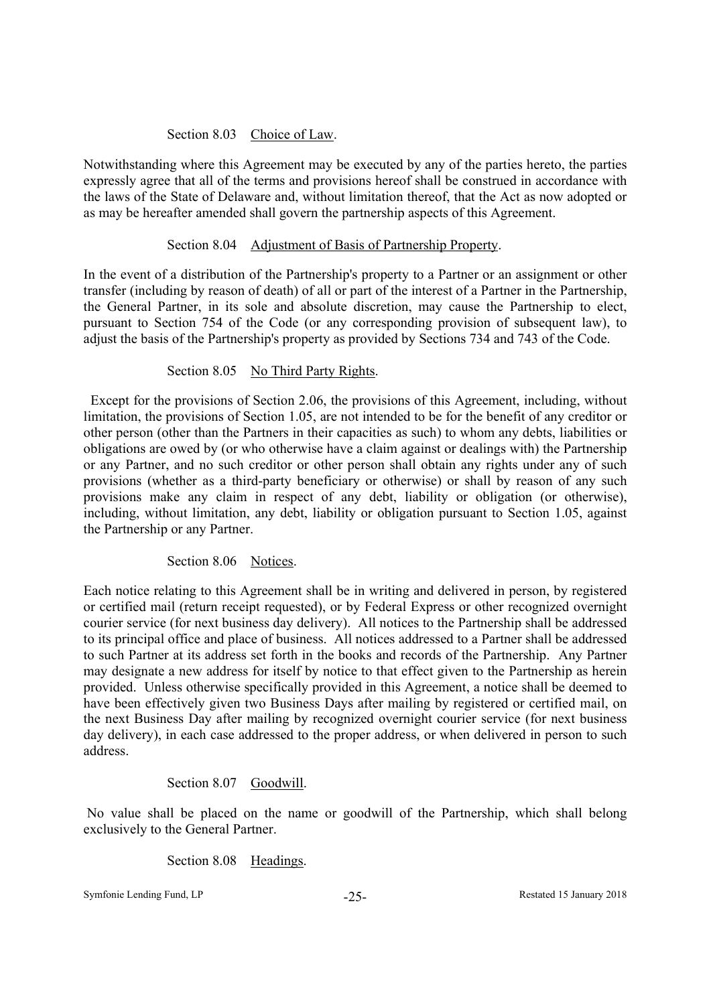## Section 8.03 Choice of Law.

Notwithstanding where this Agreement may be executed by any of the parties hereto, the parties expressly agree that all of the terms and provisions hereof shall be construed in accordance with the laws of the State of Delaware and, without limitation thereof, that the Act as now adopted or as may be hereafter amended shall govern the partnership aspects of this Agreement.

## Section 8.04 Adjustment of Basis of Partnership Property.

In the event of a distribution of the Partnership's property to a Partner or an assignment or other transfer (including by reason of death) of all or part of the interest of a Partner in the Partnership, the General Partner, in its sole and absolute discretion, may cause the Partnership to elect, pursuant to Section 754 of the Code (or any corresponding provision of subsequent law), to adjust the basis of the Partnership's property as provided by Sections 734 and 743 of the Code.

# Section 8.05 No Third Party Rights.

 Except for the provisions of Section 2.06, the provisions of this Agreement, including, without limitation, the provisions of Section 1.05, are not intended to be for the benefit of any creditor or other person (other than the Partners in their capacities as such) to whom any debts, liabilities or obligations are owed by (or who otherwise have a claim against or dealings with) the Partnership or any Partner, and no such creditor or other person shall obtain any rights under any of such provisions (whether as a third-party beneficiary or otherwise) or shall by reason of any such provisions make any claim in respect of any debt, liability or obligation (or otherwise), including, without limitation, any debt, liability or obligation pursuant to Section 1.05, against the Partnership or any Partner.

Section 8.06 Notices.

Each notice relating to this Agreement shall be in writing and delivered in person, by registered or certified mail (return receipt requested), or by Federal Express or other recognized overnight courier service (for next business day delivery). All notices to the Partnership shall be addressed to its principal office and place of business. All notices addressed to a Partner shall be addressed to such Partner at its address set forth in the books and records of the Partnership. Any Partner may designate a new address for itself by notice to that effect given to the Partnership as herein provided. Unless otherwise specifically provided in this Agreement, a notice shall be deemed to have been effectively given two Business Days after mailing by registered or certified mail, on the next Business Day after mailing by recognized overnight courier service (for next business day delivery), in each case addressed to the proper address, or when delivered in person to such address.

## Section 8.07 Goodwill.

 No value shall be placed on the name or goodwill of the Partnership, which shall belong exclusively to the General Partner.

Section 8.08 Headings.

Symfonie Lending Fund, LP  $-25-$  Restated 15 January 2018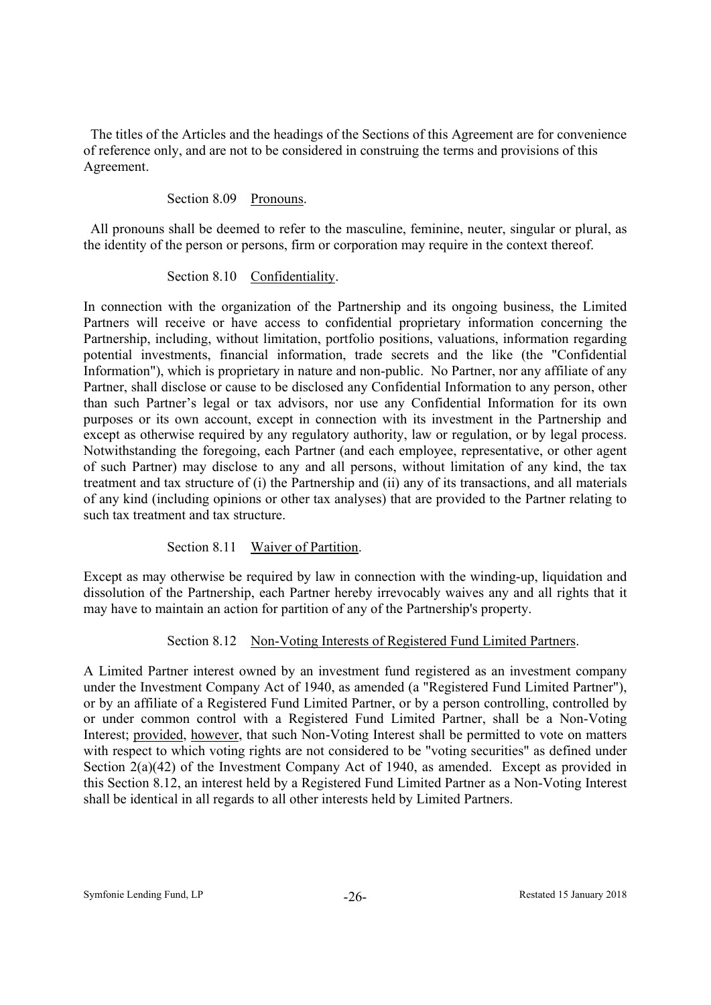The titles of the Articles and the headings of the Sections of this Agreement are for convenience of reference only, and are not to be considered in construing the terms and provisions of this Agreement.

Section 8.09 Pronouns.

 All pronouns shall be deemed to refer to the masculine, feminine, neuter, singular or plural, as the identity of the person or persons, firm or corporation may require in the context thereof.

Section 8.10 Confidentiality.

In connection with the organization of the Partnership and its ongoing business, the Limited Partners will receive or have access to confidential proprietary information concerning the Partnership, including, without limitation, portfolio positions, valuations, information regarding potential investments, financial information, trade secrets and the like (the "Confidential Information"), which is proprietary in nature and non-public. No Partner, nor any affiliate of any Partner, shall disclose or cause to be disclosed any Confidential Information to any person, other than such Partner's legal or tax advisors, nor use any Confidential Information for its own purposes or its own account, except in connection with its investment in the Partnership and except as otherwise required by any regulatory authority, law or regulation, or by legal process. Notwithstanding the foregoing, each Partner (and each employee, representative, or other agent of such Partner) may disclose to any and all persons, without limitation of any kind, the tax treatment and tax structure of (i) the Partnership and (ii) any of its transactions, and all materials of any kind (including opinions or other tax analyses) that are provided to the Partner relating to such tax treatment and tax structure.

Section 8.11 Waiver of Partition.

Except as may otherwise be required by law in connection with the winding-up, liquidation and dissolution of the Partnership, each Partner hereby irrevocably waives any and all rights that it may have to maintain an action for partition of any of the Partnership's property.

## Section 8.12 Non-Voting Interests of Registered Fund Limited Partners.

A Limited Partner interest owned by an investment fund registered as an investment company under the Investment Company Act of 1940, as amended (a "Registered Fund Limited Partner"), or by an affiliate of a Registered Fund Limited Partner, or by a person controlling, controlled by or under common control with a Registered Fund Limited Partner, shall be a Non-Voting Interest; provided, however, that such Non-Voting Interest shall be permitted to vote on matters with respect to which voting rights are not considered to be "voting securities" as defined under Section 2(a)(42) of the Investment Company Act of 1940, as amended. Except as provided in this Section 8.12, an interest held by a Registered Fund Limited Partner as a Non-Voting Interest shall be identical in all regards to all other interests held by Limited Partners.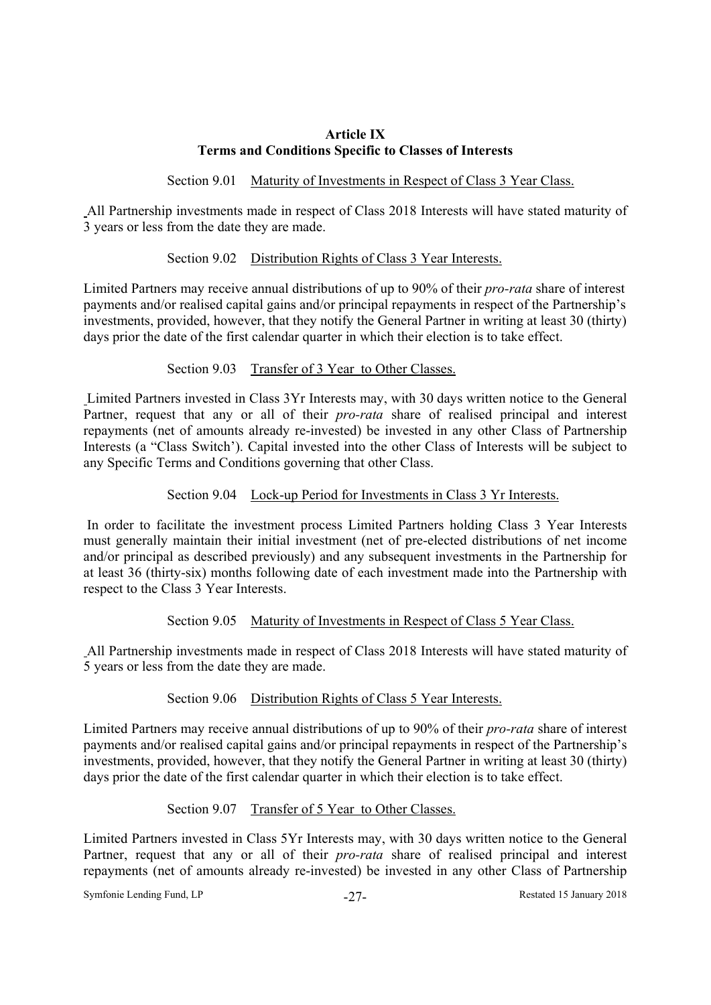#### **Article IX Terms and Conditions Specific to Classes of Interests**

Section 9.01 Maturity of Investments in Respect of Class 3 Year Class.

 All Partnership investments made in respect of Class 2018 Interests will have stated maturity of 3 years or less from the date they are made.

## Section 9.02 Distribution Rights of Class 3 Year Interests.

Limited Partners may receive annual distributions of up to 90% of their *pro-rata* share of interest payments and/or realised capital gains and/or principal repayments in respect of the Partnership's investments, provided, however, that they notify the General Partner in writing at least 30 (thirty) days prior the date of the first calendar quarter in which their election is to take effect.

# Section 9.03 Transfer of 3 Year to Other Classes.

 Limited Partners invested in Class 3Yr Interests may, with 30 days written notice to the General Partner, request that any or all of their *pro-rata* share of realised principal and interest repayments (net of amounts already re-invested) be invested in any other Class of Partnership Interests (a "Class Switch'). Capital invested into the other Class of Interests will be subject to any Specific Terms and Conditions governing that other Class.

# Section 9.04 Lock-up Period for Investments in Class 3 Yr Interests.

 In order to facilitate the investment process Limited Partners holding Class 3 Year Interests must generally maintain their initial investment (net of pre-elected distributions of net income and/or principal as described previously) and any subsequent investments in the Partnership for at least 36 (thirty-six) months following date of each investment made into the Partnership with respect to the Class 3 Year Interests.

## Section 9.05 Maturity of Investments in Respect of Class 5 Year Class.

 All Partnership investments made in respect of Class 2018 Interests will have stated maturity of 5 years or less from the date they are made.

# Section 9.06 Distribution Rights of Class 5 Year Interests.

Limited Partners may receive annual distributions of up to 90% of their *pro-rata* share of interest payments and/or realised capital gains and/or principal repayments in respect of the Partnership's investments, provided, however, that they notify the General Partner in writing at least 30 (thirty) days prior the date of the first calendar quarter in which their election is to take effect.

# Section 9.07 Transfer of 5 Year to Other Classes.

Limited Partners invested in Class 5Yr Interests may, with 30 days written notice to the General Partner, request that any or all of their *pro-rata* share of realised principal and interest repayments (net of amounts already re-invested) be invested in any other Class of Partnership

Symfonie Lending Fund, LP  $-27-$  Restated 15 January 2018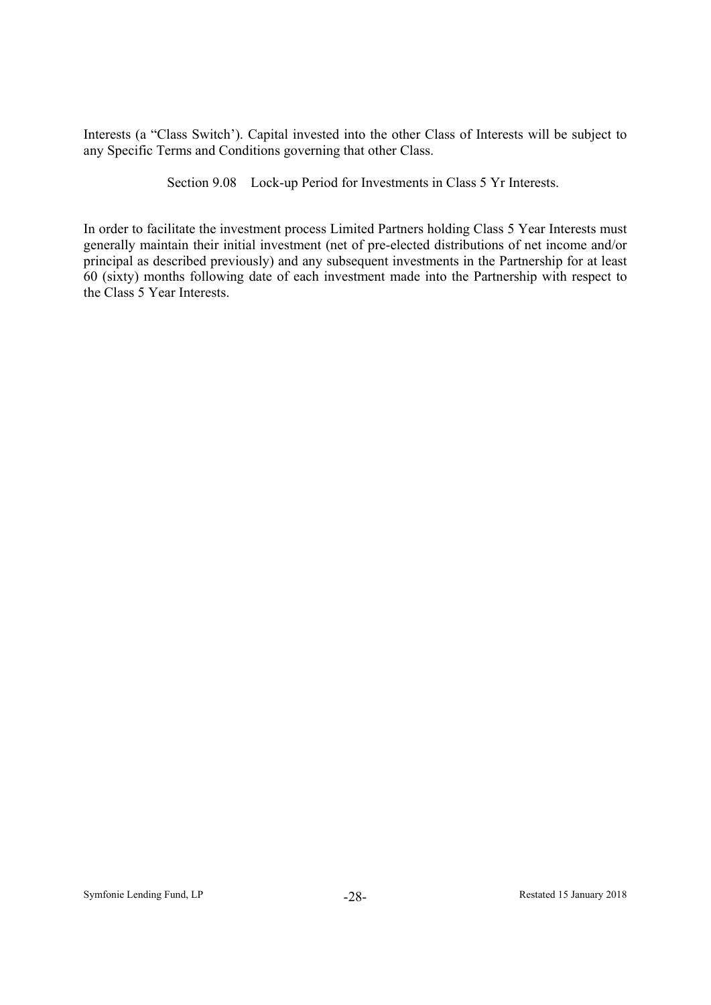Interests (a "Class Switch'). Capital invested into the other Class of Interests will be subject to any Specific Terms and Conditions governing that other Class.

Section 9.08 Lock-up Period for Investments in Class 5 Yr Interests.

In order to facilitate the investment process Limited Partners holding Class 5 Year Interests must generally maintain their initial investment (net of pre-elected distributions of net income and/or principal as described previously) and any subsequent investments in the Partnership for at least 60 (sixty) months following date of each investment made into the Partnership with respect to the Class 5 Year Interests.